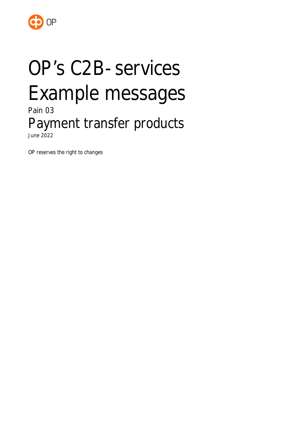

# OP's C2B-services Example messages

Pain 03 Payment transfer products June 2022

OP reserves the right to changes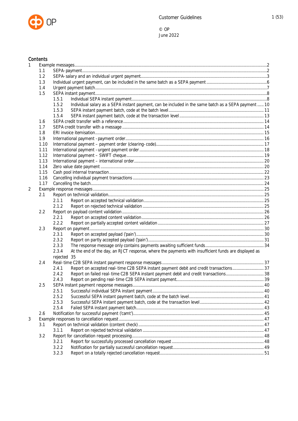

### Contents

| 1 |      |                                                                                                               |  |
|---|------|---------------------------------------------------------------------------------------------------------------|--|
|   | 1.1  |                                                                                                               |  |
|   | 1.2  |                                                                                                               |  |
|   | 1.3  |                                                                                                               |  |
|   | 1.4  |                                                                                                               |  |
|   | 1.5  |                                                                                                               |  |
|   |      | 1.5.1                                                                                                         |  |
|   |      | Individual salary as a SEPA instant payment, can be included in the same batch as a SEPA payment  10<br>1.5.2 |  |
|   |      | 1.5.3                                                                                                         |  |
|   |      | 1.5.4                                                                                                         |  |
|   | 1.6  |                                                                                                               |  |
|   | 1.7  |                                                                                                               |  |
|   | 1.8  |                                                                                                               |  |
|   | 1.9  |                                                                                                               |  |
|   | 1.10 |                                                                                                               |  |
|   | 1.11 |                                                                                                               |  |
|   | 1.12 |                                                                                                               |  |
|   | 1.13 |                                                                                                               |  |
|   | 1.14 |                                                                                                               |  |
|   | 1.15 |                                                                                                               |  |
|   | 1.16 |                                                                                                               |  |
|   | 1.17 |                                                                                                               |  |
| 2 |      |                                                                                                               |  |
|   | 2.1  |                                                                                                               |  |
|   |      | 2.1.1                                                                                                         |  |
|   |      | 2.1.2                                                                                                         |  |
|   | 2.2  |                                                                                                               |  |
|   |      | 2.2.1                                                                                                         |  |
|   |      | 2.2.2                                                                                                         |  |
|   | 2.3  |                                                                                                               |  |
|   |      | 2.3.1                                                                                                         |  |
|   |      | 2.3.2                                                                                                         |  |
|   |      | 2.3.3                                                                                                         |  |
|   |      | At the end of the day, an RJCT response, where the payments with insufficient funds are displayed as<br>2.3.4 |  |
|   |      | rejected 35                                                                                                   |  |
|   | 2.4  |                                                                                                               |  |
|   |      | Report on accepted real-time C2B SEPA instant payment debit and credit transactions 37<br>2.4.1               |  |
|   |      | 2.4.2<br>Report on failed real-time C2B SEPA instant payment debit and credit transactions 38                 |  |
|   |      | 2.4.3                                                                                                         |  |
|   | 2.5  |                                                                                                               |  |
|   |      | 2.5.1                                                                                                         |  |
|   |      | 2.5.2                                                                                                         |  |
|   |      | 2.5.3                                                                                                         |  |
|   |      | 2.5.4                                                                                                         |  |
|   |      |                                                                                                               |  |
|   | 2.6  |                                                                                                               |  |
| 3 |      |                                                                                                               |  |
|   | 3.1  |                                                                                                               |  |
|   |      | 3.1.1                                                                                                         |  |
|   | 3.2  |                                                                                                               |  |
|   |      | 3.2.1                                                                                                         |  |
|   |      | 3.2.2                                                                                                         |  |
|   |      | 3.2.3                                                                                                         |  |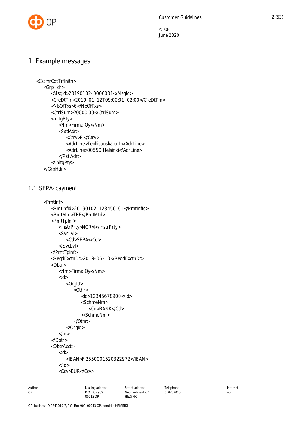

# <span id="page-2-0"></span>1 Example messages

```
 <CstmrCdtTrfInitn>
    <GrpHdr>
       <MsgId>20190102-0000001</MsgId>
       <CreDtTm>2019-01-12T09:00:01+02:00</CreDtTm>
       <NbOfTxs>6</NbOfTxs>
       <CtrlSum>20000.00</CtrlSum>
       <InitgPty>
          <Nm>Firma Oy</Nm>
          <PstlAdr>
              <Ctry>FI</Ctry>
              <AdrLine>Teollisuuskatu 1</AdrLine>
              <AdrLine>00550 Helsinki</AdrLine>
           </PstlAdr>
       </InitgPty>
    </GrpHdr>
```
## <span id="page-2-1"></span>1.1 SEPA-payment

```
 <PmtInf>
    <PmtInfId>20190102-123456-01</PmtInfId>
    <PmtMtd>TRF</PmtMtd>
    <PmtTpInf>
       <InstrPrty>NORM</InstrPrty>
       <SvcLvl>
          <Cd>SEPA</Cd>
       </SvcLvl>
    </PmtTpInf>
    <ReqdExctnDt>2019-05-10</ReqdExctnDt>
    <Dbtr>
       <Nm>Firma Oy</Nm>
      <Id> <OrgId>
              <Othr>
                 <Id>12345678900</Id>
                 <SchmeNm>
                    <Cd>BANK</Cd>
                 </SchmeNm>
              </Othr>
          </OrgId>
      </Id> </Dbtr>
    <DbtrAcct>
       <Id>
          <IBAN>FI2550001520322972</IBAN>
       </Id>
       <Ccy>EUR</Ccy>
```

| Author | Mailing address | Street address   | Telephone | Internet |
|--------|-----------------|------------------|-----------|----------|
| OP     | P.O. Box 909    | Gebhardinaukio 1 | 010252010 | op.fi    |
|        | 00013 OP        | HELSINKI         |           |          |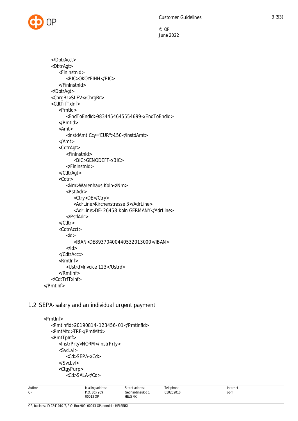

```
 </DbtrAcct>
    <DbtrAgt>
       <FinInstnId>
           <BIC>OKOYFIHH</BIC>
       </FinInstnId>
    </DbtrAgt>
    <ChrgBr>SLEV</ChrgBr>
    <CdtTrfTxInf>
       <PmtId>
           <EndToEndId>9834454645554699</EndToEndId>
       </PmtId>
       <Amt>
           <InstdAmt Ccy="EUR">150</InstdAmt>
       </Amt>
       <CdtrAgt>
           <FinInstnId>
              <BIC>GENODEFF</BIC>
           </FinInstnId>
       </CdtrAgt>
       <Cdtr>
           <Nm>Warenhaus Koln</Nm>
           <PstlAdr>
              <Ctry>DE</Ctry>
              <AdrLine>Kirchenstrasse 3</AdrLine>
              <AdrLine>DE-26458 Koln GERMANY</AdrLine>
           </PstlAdr>
       </Cdtr>
       <CdtrAcct>
          <Id> <IBAN>DE89370400440532013000</IBAN>
          </Id> </CdtrAcct>
       <RmtInf>
           <Ustrd>Invoice 123</Ustrd>
       </RmtInf>
    </CdtTrfTxInf>
 </PmtInf>
```
# <span id="page-3-0"></span>1.2 SEPA-salary and an individual urgent payment

```
 <PmtInf>
    <PmtInfId>20190814-123456-01</PmtInfId>
    <PmtMtd>TRF</PmtMtd>
    <PmtTpInf>
       <InstrPrty>NORM</InstrPrty>
       <SvcLvl>
          <Cd>SEPA</Cd>
       </SvcLvl>
       <CtgyPurp>
          <Cd>SALA</Cd>
```
OP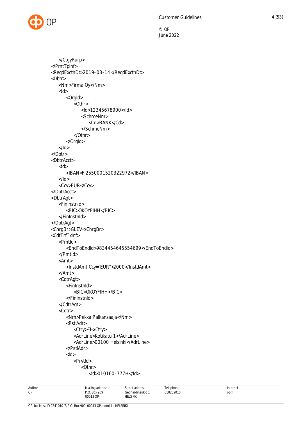

```
 </CtgyPurp>
 </PmtTpInf>
 <ReqdExctnDt>2019-08-14</ReqdExctnDt>
 <Dbtr>
    <Nm>Firma Oy</Nm>
   <ld> <OrgId>
           <Othr>
              <Id>12345678900</Id>
              <SchmeNm>
                  <Cd>BANK</Cd>
              </SchmeNm>
           </Othr>
       </OrgId>
   </Id> </Dbtr>
 <DbtrAcct>
   <Id> <IBAN>FI2550001520322972</IBAN>
   </Id> <Ccy>EUR</Ccy>
 </DbtrAcct>
 <DbtrAgt>
    <FinInstnId>
       <BIC>OKOYFIHH</BIC>
    </FinInstnId>
 </DbtrAgt>
 <ChrgBr>SLEV</ChrgBr>
 <CdtTrfTxInf>
    <PmtId>
       <EndToEndId>9834454645554699</EndToEndId>
    </PmtId>
    <Amt>
       <InstdAmt Ccy="EUR">2000</InstdAmt>
    </Amt>
    <CdtrAgt>
       <FinInstnId>
           <BIC>OKOYFIHH</BIC>
       </FinInstnId>
    </CdtrAgt>
    <Cdtr>
       <Nm>Pekka Palkansaaja</Nm>
       <PstlAdr>
           <Ctry>FI</Ctry>
           <AdrLine>Kotikatu 1</AdrLine>
           <AdrLine>00100 Helsinki</AdrLine>
       </PstlAdr>
      <Id> <PrvtId>
             < Othr> <Id>010160-777H</Id>
```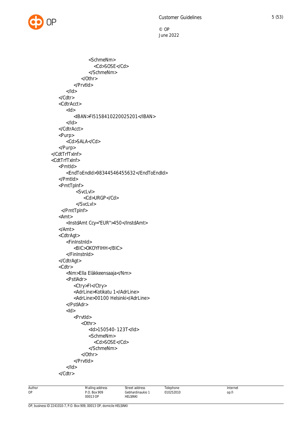

 <SchmeNm> <Cd>SOSE</Cd> </SchmeNm> </Othr> </PrvtId>  $<$ /Id $>$  </Cdtr> <CdtrAcct>  $<$ Id $>$  <IBAN>FI5158410220025201</IBAN>  $<$ /Id $>$  </CdtrAcct> <Purp> <Cd>SALA</Cd> </Purp> </CdtTrfTxInf> <CdtTrfTxInf> <PmtId> <EndToEndId>98344546455632</EndToEndId> </PmtId> <PmtTpInf> <SvcLvl> <Cd>URGP</Cd> </SvcLvl> </PmtTpInf> <Amt> <InstdAmt Ccy="EUR">450</InstdAmt> </Amt> <CdtrAgt> <FinInstnId> <BIC>OKOYFIHH</BIC> </FinInstnId> </CdtrAgt> <Cdtr> <Nm>Ella Eläkkeensaaja</Nm> <PstlAdr> <Ctry>FI</Ctry> <AdrLine>Kotikatu 1</AdrLine> <AdrLine>00100 Helsinki</AdrLine> </PstlAdr> <Id> <PrvtId> <Othr> <Id>150540-123T</Id> <SchmeNm> <Cd>SOSE</Cd> </SchmeNm> </Othr> </PrvtId>  $<$ /Id $>$ </Cdtr>

Mailing address P.O. Box 909 00013 OP

Street address Gebhardinaukio 1 HELSINKI

Telephone 010252010 Internet op.fi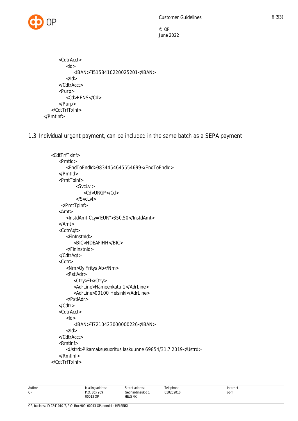

```
 <CdtrAcct>
          <Id> <IBAN>FI5158410220025201</IBAN>
          </Id> </CdtrAcct>
       <Purp>
           <Cd>PENS</Cd>
       </Purp>
    </CdtTrfTxInf>
 </PmtInf>
```
<span id="page-6-0"></span>1.3 Individual urgent payment, can be included in the same batch as a SEPA payment

```
 <CdtTrfTxInf>
    <PmtId>
       <EndToEndId>9834454645554699</EndToEndId>
    </PmtId>
    <PmtTpInf>
            <SvcLvl>
               <Cd>URGP</Cd>
            </SvcLvl>
     </PmtTpInf>
    <Amt>
       <InstdAmt Ccy="EUR">350.50</InstdAmt>
    </Amt>
    <CdtrAgt>
       <FinInstnId>
           <BIC>NDEAFIHH</BIC>
       </FinInstnId>
    </CdtrAgt>
    <Cdtr>
       <Nm>Oy Yritys Ab</Nm>
       <PstlAdr>
           <Ctry>FI</Ctry>
           <AdrLine>Hämeenkatu 1</AdrLine>
           <AdrLine>00100 Helsinki</AdrLine>
       </PstlAdr>
    </Cdtr>
    <CdtrAcct>
       <Id>
           <IBAN>FI7210423000000226</IBAN>
      </Id> </CdtrAcct>
    <RmtInf>
       <Ustrd>Pikamaksusuoritus laskuunne 69854/31.7.2019</Ustrd>
    </RmtInf>
 </CdtTrfTxInf>
```
Telephone 010252010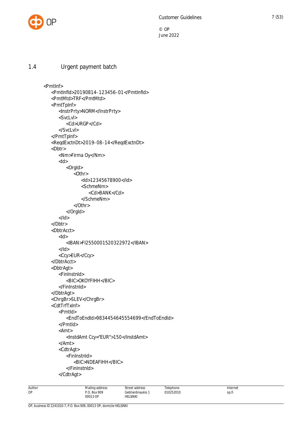

## 1.4 Urgent payment batch

```
 <PmtInf>
    <PmtInfId>20190814-123456-01</PmtInfId>
    <PmtMtd>TRF</PmtMtd>
    <PmtTpInf>
       <InstrPrty>NORM</InstrPrty>
       <SvcLvl>
           <Cd>URGP</Cd>
       </SvcLvl>
    </PmtTpInf>
    <ReqdExctnDt>2019-08-14</ReqdExctnDt>
    <Dbtr>
       <Nm>Firma Oy</Nm>
      <Id> <OrgId>
              <Othr>
                 <Id>12345678900</Id>
                 <SchmeNm>
                     <Cd>BANK</Cd>
                 </SchmeNm>
              </Othr>
           </OrgId>
      </Id> </Dbtr>
    <DbtrAcct>
      <Id> <IBAN>FI2550001520322972</IBAN>
      </Id> <Ccy>EUR</Ccy>
    </DbtrAcct>
    <DbtrAgt>
       <FinInstnId>
           <BIC>OKOYFIHH</BIC>
       </FinInstnId>
    </DbtrAgt>
    <ChrgBr>SLEV</ChrgBr>
    <CdtTrfTxInf>
       <PmtId>
           <EndToEndId>9834454645554699</EndToEndId>
       </PmtId>
       <Amt>
           <InstdAmt Ccy="EUR">150</InstdAmt>
       </Amt>
       <CdtrAgt>
           <FinInstnId>
              <BIC>NDEAFIHH</BIC>
           </FinInstnId>
       </CdtrAgt>
```
OP, business ID 2241010-7, P.O. Box 909, 00013 OP, domicile HELSINKI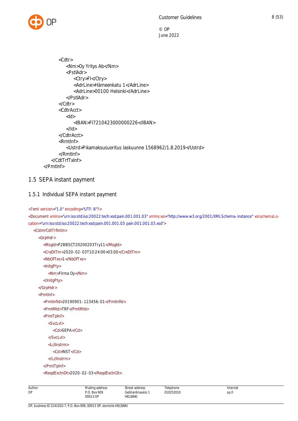

```
 <Cdtr>
           <Nm>Oy Yritys Ab</Nm>
           <PstlAdr>
              <Ctry>FI</Ctry>
              <AdrLine>Hämeenkatu 1</AdrLine>
             <AdrLine>00100 Helsinki</AdrLine>
           </PstlAdr>
       </Cdtr>
       <CdtrAcct>
           <Id>
              <IBAN>FI7210423000000226</IBAN>
          </Id> </CdtrAcct>
       <RmtInf>
           <Ustrd>Pikamaksusuoritus laskuunne 1568962/1.8.2019</Ustrd>
        </RmtInf>
    </CdtTrfTxInf>
 </PmtInf>
```
## <span id="page-8-0"></span>1.5 SEPA instant payment

## <span id="page-8-1"></span>1.5.1 Individual SEPA instant payment

```
<?xml version="1.0" encoding="UTF-8"?>
<Document xmlns="urn:iso:std:iso:20022:tech:xsd:pain.001.001.03" xmlns:xsi="http://www.w3.org/2001/XMLSchema-instance" xsi:schemaLo-
cation="urn:iso:std:iso:20022:tech:xsd:pain.001.001.03 pain.001.001.03.xsd">
  <CstmrCdtTrfInitn>
    <GrpHdr>
       <MsgId>P2BBSCT20200203Try11</MsgId>
       <CreDtTm>2020-02-03T10:24:00+03:00</CreDtTm>
       <NbOfTxs>1</NbOfTxs>
       <InitgPty>
          <Nm>Firma Oy</Nm>
       </InitgPty>
    </GrpHdr>
    <PmtInf>
       <PmtInfId>20190901-123456-01</PmtInfId>
       <PmtMtd>TRF</PmtMtd>
       <PmtTpInf>
          <SvcLvl>
            <Cd>SEPA</Cd>
         </SvcLvl>
          <LclInstrm>
            <Cd>INST</Cd>
          </LclInstrm>
       </PmtTpInf>
       <ReqdExctnDt>2020-02-03</ReqdExctnDt>
```

| Author | Mailing address<br>the contract of the contract of | Street address                    | <sup>r</sup> elephone | Internet     |
|--------|----------------------------------------------------|-----------------------------------|-----------------------|--------------|
| OP     | <b>Box 909</b><br>00013 OP                         | Gebhardinaukio<br><b>HELSINKI</b> | 010252010             | ___<br>op.fi |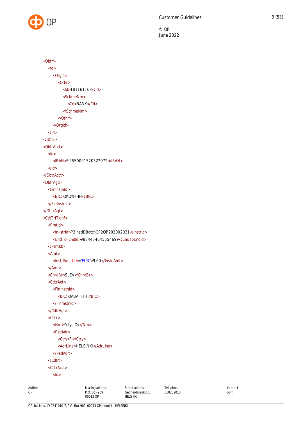

```
<Dbtr>
  <ld><OrgId>
       <Othr>
          <Id>181161163</Id>
          <SchmeNm>
            <Cd>BANK</Cd>
          </SchmeNm>
       </Othr>
    </OrgId>
  </Id>
</Dbtr>
<DbtrAcct>
  <Id><IBAN>FI2550001520322972</IBAN>
  </Id>
</DbtrAcct>
<DbtrAgt>
  <FinInstnId>
    <BIC>OKOYFIHH</BIC>
  </FinInstnId>
</DbtrAgt>
<CdtTrfTxInf>
  <PmtId>
    <In-strId>P3InstIDBatchOP2OP202002031</InstrId>
    <EndTo-EndId>9834454645554699</EndToEndId>
  </PmtId>
  <Amt>
    <InstdAmt Ccy="EUR">9.60</InstdAmt>
  </Amt>
  <ChrgBr>SLEV</ChrgBr>
  <CdtrAgt>
    <FinInstnId>
       <BIC>DABAFIHH</BIC>
    </FinInstnId>
  </CdtrAgt>
  <Cdtr>
    <Nm>Yritys Oy</Nm>
    <PstlAdr>
       <Ctry>FI</Ctry>
       <AdrLine>HELSINKI</AdrLine>
    </PstlAdr>
  </Cdtr>
  <CdtrAcct>
    <Id>
```
Mailing address P.O. Box 909 00013 OP

Street address Gebhardinaukio 1 HELSINKI

**Telephone** 010252010 Internet op.fi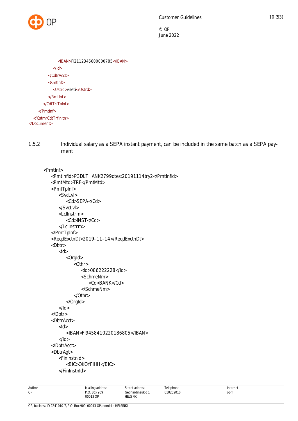

```
<IBAN>FI2112345600000785</IBAN>
            </Id>
          </CdtrAcct>
          <RmtInf>
            <Ustrd>viesti</Ustrd>
          </RmtInf>
       </CdtTrfTxInf>
    </PmtInf>
  </CstmrCdtTrfInitn>
</Document>
```
1.5.2 Individual salary as a SEPA instant payment, can be included in the same batch as a SEPA payment

```
 <PmtInf>
    <PmtInfId>P3DLTHANK2799dtest20191114try2</PmtInfId>
    <PmtMtd>TRF</PmtMtd>
    <PmtTpInf>
       <SvcLvl>
          <Cd>SEPA</Cd>
       </SvcLvl>
      <LclInstrm>
          <Cd>INST</Cd>
       </LclInstrm>
    </PmtTpInf>
    <ReqdExctnDt>2019-11-14</ReqdExctnDt>
    <Dbtr>
      <Id> <OrgId>
              <Othr>
                 <Id>086222228</Id>
                 <SchmeNm>
                    <Cd>BANK</Cd>
                 </SchmeNm>
              </Othr>
          </OrgId>
      </Id> </Dbtr>
    <DbtrAcct>
      <Id> <IBAN>FI9458410220186805</IBAN>
      </Id> </DbtrAcct>
    <DbtrAgt>
       <FinInstnId>
          <BIC>OKOYFIHH</BIC>
       </FinInstnId>
```

| Author<br>. | $\cdots$<br>Mailing address | $\sim$<br>street address | $\sim$<br>elephone | Internet<br>. |
|-------------|-----------------------------|--------------------------|--------------------|---------------|
| OP          | . Box 909                   | Gebhardinaukio           | 010252010          | op.fi         |
|             | 00013 OP                    | HELSINKI                 |                    |               |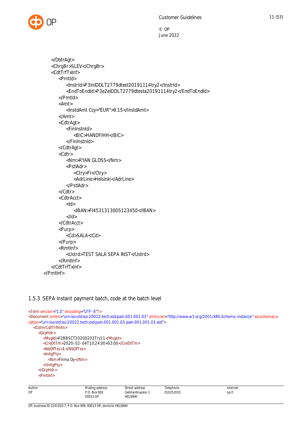

```
 </DbtrAgt>
    <ChrgBr>SLEV</ChrgBr>
    <CdtTrfTxInf>
       <PmtId>
           <InstrId>P3InIDDLT2779dtest20191114try2</InstrId>
           <EndToEndId>P3e2eIDDLT2779dtesta20191114try2</EndToEndId>
       </PmtId>
       <Amt>
           <InstdAmt Ccy="EUR">9.15</InstdAmt>
       </Amt>
       <CdtrAgt>
           <FinInstnId>
              <BIC>HANDFIHH</BIC>
           </FinInstnId>
       </CdtrAgt>
       <Cdtr>
           <Nm>RYAN GLOSS</Nm>
           <PstlAdr>
              <Ctry>FI</Ctry>
              <AdrLine>Helsinki</AdrLine>
           </PstlAdr>
       </Cdtr>
       <CdtrAcct>
           <Id>
              <IBAN>FI4531313005123450</IBAN>
          </Id> </CdtrAcct>
       <Purp>
           <Cd>SALA</Cd>
       </Purp>
       <RmtInf>
           <Ustrd>TEST SALA SEPA INST</Ustrd>
        </RmtInf>
    </CdtTrfTxInf>
 </PmtInf>
```
#### <span id="page-11-0"></span>1.5.3 SEPA instant payment batch, code at the batch level

```
Author
                              Mailing address
                                                  Street address
                                                                        Telephone
                                                                                                        Internet
<?xml version="1.0" encoding="UTF-8"?>
<Document xmlns="urn:iso:std:iso:20022:tech:xsd:pain.001.001.03" xmlns:xsi="http://www.w3.org/2001/XMLSchema-instance" xsi:schemaLo-
cation="urn:iso:std:iso:20022:tech:xsd:pain.001.001.03 pain.001.001.03.xsd">
  <CstmrCdtTrfInitn>
     <GrpHdr>
       <MsgId>P2BBSCT20200203Try11</MsgId>
       <CreDtTm>2020-02-04T10:24:00+03:00</CreDtTm>
       <NbOfTxs>1</NbOfTxs>
       <InitgPty>
          <Nm>Firma Oy</Nm>
       </InitgPty>
     </GrpHdr>
     <PmtInf>
```
010252010

op.fi

Gebhardinaukio 1 HELSINKI

P.O. Box 909 00013 OP

OP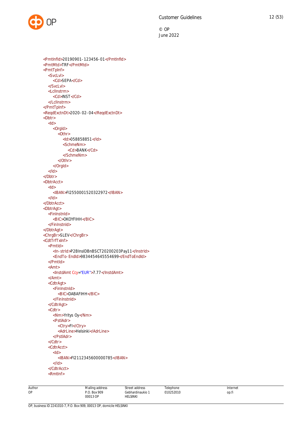

<PmtInfId>20190901-123456-01</PmtInfId> <PmtMtd>TRF</PmtMtd> <PmtTpInf> <SvcLvl> <Cd>SEPA</Cd> </SvcLvl> <LclInstrm> <Cd>INST</Cd> </LclInstrm> </PmtTpInf> <ReqdExctnDt>2020-02-04</ReqdExctnDt>  $$  $<$ Id $>$ <OrgId>  $\overline{\leq}$ Othr> <Id>058858851</Id> <SchmeNm> <Cd>BANK</Cd> </SchmeNm> </Othr> </OrgId>  $<$ /Id $>$ </Dbtr> <DbtrAcct>  $<$ Id $>$ <IBAN>FI2550001520322972</IBAN>  $<$ /Id $>$ </DbtrAcct> <DbtrAgt> <FinInstnId> <BIC>OKOYFIHH</BIC> </FinInstnId> </DbtrAgt> <ChrgBr>SLEV</ChrgBr> <CdtTrfTxInf> <PmtId> <In-strId>P2BInsIDBnBSCT20200203Pay11</InstrId> <EndTo-EndId>9834454645554699</EndToEndId> </PmtId> <Amt> <InstdAmt Ccy="EUR">7.77</InstdAmt> </Amt> <CdtrAgt> <FinInstnId> <BIC>DABAFIHH</BIC> </FinInstnId> </CdtrAgt> <Cdtr> <Nm>Yritys Oy</Nm> <PstlAdr> <Ctry>FI</Ctry> <AdrLine>Helsinki</AdrLine> </PstlAdr> </Cdtr> <CdtrAcct>  $<$ Id $>$ <IBAN>FI2112345600000785</IBAN>  $<$ /Id> </CdtrAcct> <RmtInf>

Mailing address P.O. Box 909

Street address Gebhardinaukio 1 HELSINKI

**Telenhone** 010252010 Internet op.fi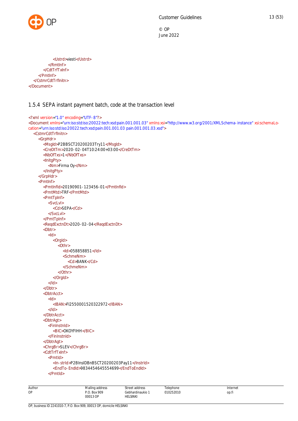



<Ustrd>viesti</Ustrd> </RmtInf> </CdtTrfTxInf> </PmtInf> </CstmrCdtTrfInitn> </Document>

#### <span id="page-13-0"></span>1.5.4 SEPA instant payment batch, code at the transaction level

```
<?xml version="1.0" encoding="UTF-8"?>
<Document xmlns="urn:iso:std:iso:20022:tech:xsd:pain.001.001.03" xmlns:xsi="http://www.w3.org/2001/XMLSchema-instance" xsi:schemaLo-
cation="urn:iso:std:iso:20022:tech:xsd:pain.001.001.03 pain.001.001.03.xsd">
  <CstmrCdtTrfInitn>
    <GrpHdr>
       <MsgId>P2BBSCT20200203Try11</MsgId>
       <CreDtTm>2020-02-04T10:24:00+03:00</CreDtTm>
       <NbOfTxs>1</NbOfTxs>
       <InitgPty>
         <Nm>Firma Oy</Nm>
       </InitgPty>
    </GrpHdr>
    <PmtInf>
       <PmtInfId>20190901-123456-01</PmtInfId>
       <PmtMtd>TRF</PmtMtd>
       <PmtTpInf>
         <SvcLvl>
            <Cd>SEPA</Cd>
         </SvcLvl>
       </PmtTpInf>
       <ReqdExctnDt>2020-02-04</ReqdExctnDt>
       <Dbtr>
         <Id>
            <OrgId>
              <Othr>
                 <Id>058858851</Id>
                 <SchmeNm>
                   <Cd>BANK</Cd>
                 </SchmeNm>
              </Othr>
            </OrgId>
         </Id></Dbtr>
       <DbtrAcct>
         <Id><IBAN>FI2550001520322972</IBAN>
         </Id></DbtrAcct>
       <DbtrAgt>
         <FinInstnId>
            <BIC>OKOYFIHH</BIC>
         </FinInstnId>
       </DbtrAgt>
       <ChrgBr>SLEV</ChrgBr>
       <CdtTrfTxInf>
          <PmtId>
            <In-strId>P2BInsIDBnBSCT20200203Pay11</InstrId>
            <EndTo-EndId>9834454645554699</EndToEndId>
         </PmtId>
```
Mailing address P.O. Box 909

Street address Gebhardinaukio 1 HELSINKI

Telephone 010252010 Internet op.fi

Author OP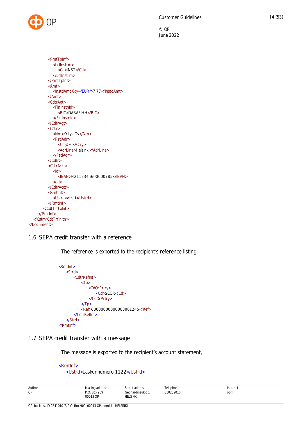

```
<PmtTpInf>
            <LclInstrm>
               <Cd>INST</Cd>
            </LclInstrm>
         </PmtTpInf>
          <Amt>
            <InstdAmt Ccy="EUR">7.77</InstdAmt>
          </Amt>
         <CdtrAgt>
            <FinInstnId>
              <BIC>DABAFIHH</BIC>
            </FinInstnId>
          </CdtrAgt>
         <Cdtr>
            <Nm>Yritys Oy</Nm>
            <PstlAdr>
              <Ctry>FI</Ctry>
              <AdrLine>Helsinki</AdrLine>
            </PstlAdr>
          </Cdtr>
          <CdtrAcct>
            <Id><IBAN>FI2112345600000785</IBAN>
            </Id></CdtrAcct>
          <RmtInf>
            <Ustrd>viesti</Ustrd>
          </RmtInf>
       </CdtTrfTxInf>
    </PmtInf>
  </CstmrCdtTrfInitn>
</Document>
```
<span id="page-14-0"></span>1.6 SEPA credit transfer with a reference

The reference is exported to the recipient's reference listing.

```
<RmtInf>
   <Strd>
       <CdtrRefInf>
           <Tp> <CdOrPrtry>
                  <Cd>SCOR</Cd>
              </CdOrPrtry>
           </Tp><Ref>00000000000000001245</Ref>
       </CdtrRefInf>
   </Strd>
</RmtInf>
```
# <span id="page-14-1"></span>1.7 SEPA credit transfer with a message

The message is exported to the recipient's account statement,

 <RmtInf> <Ustrd>Laskunnumero 1122</Ustrd>

| Author<br>OP | Mailing address<br>the contract of the contract of<br><sup>D</sup> .O. Box 909 | Street address<br>Gebhardinaukio '                                 | Telephone<br>010252010 | Internet<br>op.fi |
|--------------|--------------------------------------------------------------------------------|--------------------------------------------------------------------|------------------------|-------------------|
|              | 00013 OP                                                                       | <b>HELSINKI</b><br>the contract of the contract of the contract of |                        |                   |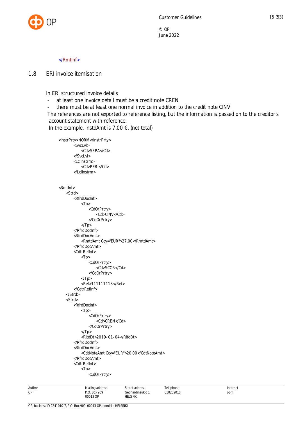

#### <span id="page-15-0"></span></RmtInf>

1.8 ERI invoice itemisation

In ERI structured invoice details

- at least one invoice detail must be a credit note CREN
- there must be at least one normal invoice in addition to the credit note CINV

The references are not exported to reference listing, but the information is passed on to the creditor's account statement with reference:

In the example, InstdAmt is 7.00  $\epsilon$ . (net total)

```
<InstrPrty>NORM</InstrPrty>
        <SvcLvl>
             <Cd>SEPA</Cd>
         </SvcLvl>
         <LclInstrm>
             <Cd>PERI</Cd>
         </LclInstrm>
 <RmtInf>
     <Strd>
         <RfrdDocInf>
            <Tp> <CdOrPrtry>
                     <Cd>CINV</Cd>
                 </CdOrPrtry>
            </Tp> </RfrdDocInf>
         <RfrdDocAmt>
             <RmtdAmt Ccy="EUR">27.00</RmtdAmt>
         </RfrdDocAmt>
         <CdtrRefInf>
            <Tp> <CdOrPrtry>
                     <Cd>SCOR</Cd>
                 </CdOrPrtry>
            </Tp> <Ref>111111118</Ref>
         </CdtrRefInf>
    \angle/Strd\sim <Strd>
         <RfrdDocInf>
            <Tp> <CdOrPrtry>
                     <Cd>CREN</Cd>
                 </CdOrPrtry>
            </Tp> <RltdDt>2019-01-04</RltdDt>
         </RfrdDocInf>
         <RfrdDocAmt>
             <CdtNoteAmt Ccy="EUR">20.00</CdtNoteAmt>
         </RfrdDocAmt>
         <CdtrRefInf>
             <Tp>
                 <CdOrPrtry>
```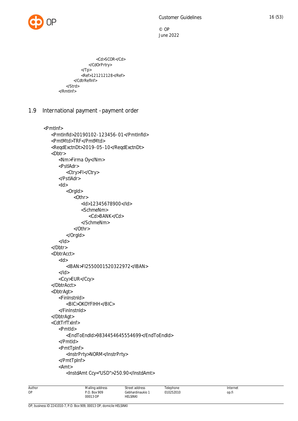

```
 <Cd>SCOR</Cd>
                 </CdOrPrtry>
            </Tp> <Ref>121212128</Ref>
         </CdtrRefInf>
     </Strd>
 </RmtInf>
```
<span id="page-16-0"></span>1.9 International payment -payment order

```
 <PmtInf>
    <PmtInfId>20190102-123456-01</PmtInfId>
    <PmtMtd>TRF</PmtMtd>
    <ReqdExctnDt>2019-05-10</ReqdExctnDt>
    <Dbtr>
       <Nm>Firma Oy</Nm>
       <PstlAdr>
          <Ctry>FI</Ctry>
       </PstlAdr>
      <Id> <OrgId>
             < Othr> <Id>12345678900</Id>
                 <SchmeNm>
                    <Cd>BANK</Cd>
                 </SchmeNm>
              </Othr>
          </OrgId>
      </Id> </Dbtr>
    <DbtrAcct>
      <Id> <IBAN>FI2550001520322972</IBAN>
      </Id> <Ccy>EUR</Ccy>
    </DbtrAcct>
    <DbtrAgt>
       <FinInstnId>
          <BIC>OKOYFIHH</BIC>
       </FinInstnId>
    </DbtrAgt>
    <CdtTrfTxInf>
       <PmtId>
          <EndToEndId>9834454645554699</EndToEndId>
       </PmtId>
       <PmtTpInf>
          <InstrPrty>NORM</InstrPrty>
       </PmtTpInf>
       <Amt>
          <InstdAmt Ccy="USD">250.90</InstdAmt>
```

| Author | Aailing address         | address<br>∶tr∩∩t          | elephone  | Internet |
|--------|-------------------------|----------------------------|-----------|----------|
| OP     | .O. Box 909<br>00013 OP | `ebhardinaukio<br>HELSINKI | 010252010 | op.f.    |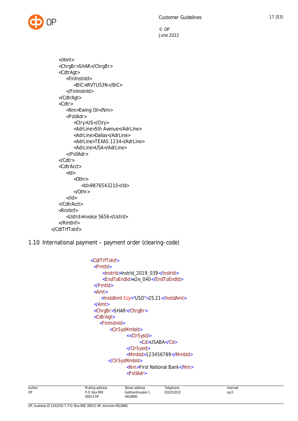

 </Amt> <ChrgBr>SHAR</ChrgBr> <CdtrAgt> <FinInstnId> <BIC>IRVTUS3N</BIC> </FinInstnId> </CdtrAgt> <Cdtr> <Nm>Ewing Oil</Nm> <PstlAdr> <Ctry>US</Ctry> <AdrLine>5th Avenue</AdrLine> <AdrLine>Dallas</AdrLine> <AdrLine>TEXAS 1234</AdrLine> <AdrLine>USA</AdrLine> </PstlAdr> </Cdtr> <CdtrAcct>  $<$ Id $>$  $<$  Othr $>$  <Id>9876543210</Id> </Othr>  $<$ /Id $>$  </CdtrAcct> <RmtInf> <Ustrd>Invoice 5656</Ustrd> </RmtInf> </CdtTrfTxInf>

<span id="page-17-0"></span>1.10 International payment – payment order (clearing-code)

```
 <CdtTrfTxInf>
 <PmtId>
     <InstrId>InstrId_2019_039</InstrId>
     <EndToEndId>e2e_040</EndToEndId>
 </PmtId>
 <Amt>
    <InstdAmt Ccy="USD">25.21</InstdAmt>
 </Amt>
 <ChrgBr>SHAR</ChrgBr>
 <CdtrAgt>
   <FinInstnId>
        <ClrSysMmbId>
               <<ClrSysId>
                    <Cd>USABA</Cd>
               </ClrSysId>
               <MmbId>123456789</MmbId>
       </ClrSysMmbId>
               <Nm>First National Bank</Nm>
               <PstlAdr>
```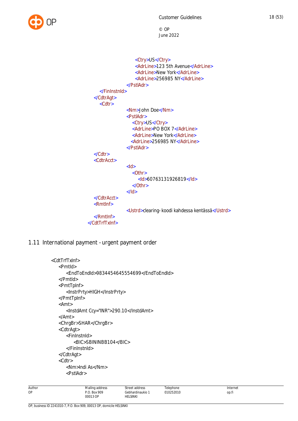

```
<Ctry>US</Ctry>
                    <AdrLine>123 5th Avenue</AdrLine>
                    <AdrLine>New York</AdrLine>
                    <AdrLine>256985 NY</AdrLine>
                </PstlAdr>
     </FinInstnId>
  </CdtrAgt>
     <Cdtr>
                <Nm>John Doe</Nm>
                <PstlAdr>
                   <Ctry>US</Ctry>
                   <AdrLine>PO BOX 7</AdrLine>
                   <AdrLine>New York</AdrLine>
                   <AdrLine>256985 NY</AdrLine>
                </PstlAdr>
  </Cdtr>
  <CdtrAcct>
                <Id><Othr>
                      <Id>60763131926819</Id>
                   </Othr></Id></CdtrAcct>
  <RmtInf>
                <Ustrd>clearing-koodi kahdessa kentässä</Ustrd>
  </RmtInf>
 </CdtTrfTxInf>
```
<span id="page-18-0"></span>1.11 International payment -urgent payment order

```
 <CdtTrfTxInf>
    <PmtId>
       <EndToEndId>9834454645554699</EndToEndId>
    </PmtId>
    <PmtTpInf>
        <InstrPrty>HIGH</InstrPrty>
    </PmtTpInf>
    <Amt>
       <InstdAmt Ccy="INR">290.10</InstdAmt>
    </Amt>
    <ChrgBr>SHAR</ChrgBr>
    <CdtrAgt>
       <FinInstnId>
           <BIC>SBININBB104</BIC>
       </FinInstnId>
    </CdtrAgt>
    <Cdtr>
       <Nm>Indi As</Nm>
       <PstlAdr>
```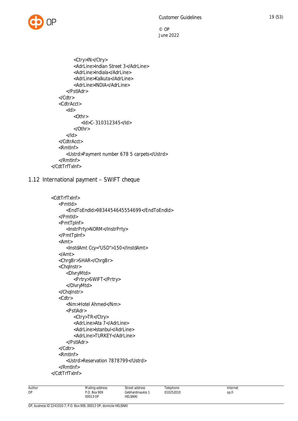

```
 <Ctry>IN</Ctry>
           <AdrLine>Indian Street 3</AdrLine>
           <AdrLine>Indiala</AdrLine>
           <AdrLine>Kalkuta</AdrLine>
           <AdrLine>INDIA</AdrLine>
        </PstlAdr>
    </Cdtr>
    <CdtrAcct>
       <Id>< Othr> <Id>C-310312345</Id>
           </Othr>
       </Id> </CdtrAcct>
    <RmtInf>
        <Ustrd>Payment number 678 5 carpets</Ustrd>
    </RmtInf>
 </CdtTrfTxInf>
```
## <span id="page-19-0"></span>1.12 International payment – SWIFT cheque

```
 <CdtTrfTxInf>
    <PmtId>
        <EndToEndId>9834454645554699</EndToEndId>
    </PmtId>
    <PmtTpInf>
       <InstrPrty>NORM</InstrPrty>
    </PmtTpInf>
    <Amt>
       <InstdAmt Ccy="USD">150</InstdAmt>
    </Amt>
    <ChrgBr>SHAR</ChrgBr>
    <ChqInstr>
       <DlvryMtd>
           <Prtry>SWIFT</Prtry>
       </DlvryMtd>
    </ChqInstr>
    <Cdtr>
       <Nm>Hotel Ahmed</Nm>
       <PstlAdr>
           <Ctry>TR</Ctry>
           <AdrLine>Ata 7</AdrLine>
           <AdrLine>Istanbul</AdrLine>
           <AdrLine>TURKEY</AdrLine>
       </PstlAdr>
    </Cdtr>
    <RmtInf>
       <Ustrd>Reservation 7878799</Ustrd>
    </RmtInf>
 </CdtTrfTxInf>
```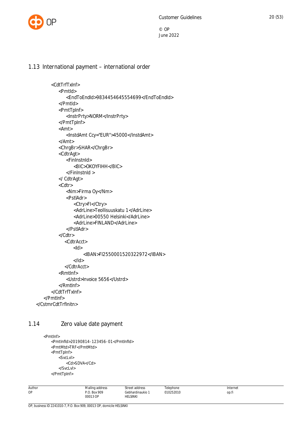



#### <span id="page-20-0"></span>1.13 International payment – international order

```
 <CdtTrfTxInf>
           <PmtId>
              <EndToEndId>9834454645554699</EndToEndId>
           </PmtId>
           <PmtTpInf>
              <InstrPrty>NORM</InstrPrty>
           </PmtTpInf>
           <Amt>
              <InstdAmt Ccy="EUR">45000</InstdAmt>
           </Amt>
           <ChrgBr>SHAR</ChrgBr>
           <CdtrAgt>
              <FinInstnId>
                  <BIC>OKOYFIHH</BIC>
              </FinInstnId >
           </ CdtrAgt>
           <Cdtr>
              <Nm>Firma Oy</Nm>
              <PstlAdr>
                  <Ctry>FI</Ctry>
                  <AdrLine>Teollisuuskatu 1</AdrLine>
                  <AdrLine>00550 Helsinki</AdrLine>
                  <AdrLine>FINLAND</AdrLine>
              </PstlAdr>
           </Cdtr>
              <CdtrAcct>
                 <Id> <IBAN>FI2550001520322972</IBAN>
                 </Id>
              </CdtrAcct>
           <RmtInf>
              <Ustrd>Invoice 5656</Ustrd>
           </RmtInf>
       </CdtTrfTxInf>
    </PmtInf>
 </CstmrCdtTrfInitn>
```
## 1.14 Zero value date payment

<span id="page-20-1"></span> <PmtInf> <PmtInfId>20190814-123456-01</PmtInfId> <PmtMtd>TRF</PmtMtd> <PmtTpInf> <SvcLvl> <Cd>SDVA</Cd> </SvcLvl> </PmtTpInf>

> Mailing address P.O. Box 909 00013 OP

Street address Gebhardinaukio 1 HELSINKI

Telephone 010252010 Internet op.fi

| Auth<br>Ο |
|-----------|
|           |
| Ü         |
|           |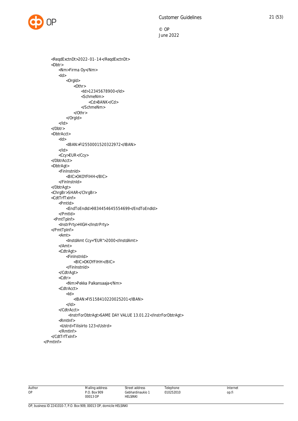

 <ReqdExctnDt>2022-01-14</ReqdExctnDt> <Dbtr> <Nm>Firma Oy</Nm>  $<$ Id $>$  <OrgId> <Othr> <Id>12345678900</Id> <SchmeNm> <Cd>BANK</Cd> </SchmeNm> </Othr> </OrgId>  $<$ /Id $>$  </Dbtr> <DbtrAcct>  $<$ Id $>$  <IBAN>FI2550001520322972</IBAN>  $<$ /Id $>$  <Ccy>EUR</Ccy> </DbtrAcct> <DbtrAgt> <FinInstnId> <BIC>OKOYFIHH</BIC> </FinInstnId> </DbtrAgt> <ChrgBr>SHAR</ChrgBr> <CdtTrfTxInf> <PmtId> <EndToEndId>9834454645554699</EndToEndId> </PmtId> <PmtTpInf> <InstrPrty>HIGH</InstrPrty> </PmtTpInf> <Amt> <InstdAmt Ccy="EUR">2000</InstdAmt> </Amt> <CdtrAgt> <FinInstnId> <BIC>OKOYFIHH</BIC> </FinInstnId> </CdtrAgt> <Cdtr> <Nm>Pekka Palkansaaja</Nm> <CdtrAcct>  $<$ Id $>$  <IBAN>FI5158410220025201</IBAN>  $<$ /Id $>$  </CdtrAcct> <InstrForDbtrAgt>SAME DAY VALUE 13.01.22</InstrForDbtrAgt> <RmtInf> <Ustrd>Tilisiirto 123</Ustrd> </RmtInf> </CdtTrfTxInf> </PmtInf>

Author OP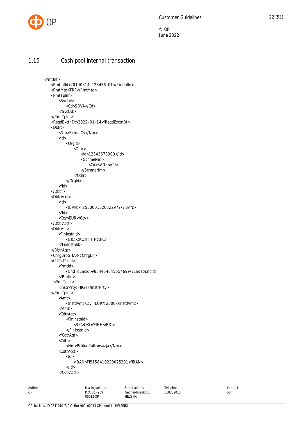

#### 1.15 Cash pool internal transaction

```
 <PmtInf>
    <PmtInfId>20190814-123456-01</PmtInfId>
    <PmtMtd>TRF</PmtMtd>
    <PmtTpInf>
        <SvcLvl>
            <Cd>SDVA</Cd>
        </SvcLvl>
    </PmtTpInf>
    <ReqdExctnDt>2022-01-14</ReqdExctnDt>
    <Dbtr>
        <Nm>Firma Oy</Nm>
       <Id> <OrgId>
                <Othr>
                    <Id>12345678900</Id>
                    <SchmeNm>
                        <Cd>BANK</Cd>
                    </SchmeNm>
                </Othr>
            </OrgId>
       </Id> </Dbtr>
    <DbtrAcct>
       <Id> <IBAN>FI2550001520322972</IBAN>
       </Id> <Ccy>EUR</Ccy>
    </DbtrAcct>
    <DbtrAgt>
        <FinInstnId>
            <BIC>OKOYFIHH</BIC>
        </FinInstnId>
    </DbtrAgt>
    <ChrgBr>SHAR</ChrgBr>
    <CdtTrfTxInf>
        <PmtId>
            <EndToEndId>9834454645554699</EndToEndId>
        </PmtId>
      <PmtTpInf>
        <InstrPrty>HIGH</InstrPrty>
    </PmtTpInf>
        <Amt>
            <InstdAmt Ccy="EUR">2000</InstdAmt>
        </Amt>
        <CdtrAgt>
            <FinInstnId>
                <BIC>OKOYFIHH</BIC>
            </FinInstnId>
        </CdtrAgt>
        <Cdtr>
            <Nm>Pekka Palkansaaja</Nm>
        <CdtrAcct>
           <Id> <IBAN>FI5158410220025201</IBAN>
           </Id> </CdtrAcct>
```

| Author | Mailing address | Street address                                              | elephone      | Internet |
|--------|-----------------|-------------------------------------------------------------|---------------|----------|
| OP     | <b>Box 909</b>  | Gebhardinaukio '                                            | 10252010<br>. | op.fi    |
|        | 00013 OP<br>.   | <b>HELSINKI</b><br>the contract of the contract of the con- |               |          |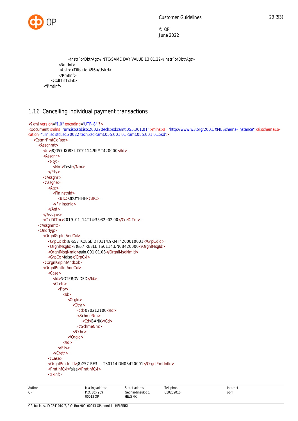

 <InstrForDbtrAgt>/INTC/SAME DAY VALUE 13.01.22</InstrForDbtrAgt> <RmtInf> <Ustrd>Tilisiirto 456</Ustrd> </RmtInf> </CdtTrfTxInf> </PmtInf>

## <span id="page-23-0"></span>1.16 Cancelling individual payment transactions

```
Author
                             Mailing address
                                                 Street address
                                                                      Telephone
                                                                                                      Internet
<?xml version="1.0" encoding="UTF-8" ?>
<Document xmlns="urn:iso:std:iso:20022:tech:xsd:camt.055.001.01" xmlns:xsi="http://www.w3.org/2001/XMLSchema-instance" xsi:schemaLo-
cation="urn:iso:std:iso:20022:tech:xsd:camt.055.001.01 camt.055.001.01.xsd">
  <CstmrPmtCxlReq>
     <Assgnmt>
       <Id>;8)G57 KO8SL DT0114.9KMT420000</Id>
       <Assgnr>
          <Pty>
            <Nm>Testi</Nm>
          </Pty>
       </Assgnr>
       <Assgne>
          <Agt>
            <FinInstnId>
               <BIC>OKOYFIHH</BIC>
            </FinInstnId>
          </Agt>
       </Assgne>
       <CreDtTm>2019-01-14T14:35:32+02:00</CreDtTm>
     </Assgnmt>
     <Undrlyg>
       <OrgnlGrpInfAndCxl>
          <GrpCxlId>;8)G57 KO8SL DT0114.9KMT4200010001</GrpCxlId>
          <OrgnlMsgId>;8)G57 RE3LL TS0114.DN0B420000</OrgnlMsgId>
          <OrgnlMsgNmId>pain.001.01.03</OrgnlMsgNmId>
          <GrpCxl>false</GrpCxl>
       </OrgnlGrpInfAndCxl>
       <OrgnlPmtInfAndCxl>
          <Case>
            <Id>NOTPROVIDED</Id>
            <Cretr>
               <Pty>
                 <Id><OrgId>
                      \sqrt{Othr}<Id>020212100</Id>
                         <SchmeNm>
                           <Cd>BANK</Cd>
                         </SchmeNm>
                      </Othr>
                    </OrgId>
                 </Id></Pty>
            </Cretr>
          </Case>
          <OrgnlPmtInfId>;8)G57 RE3LL TS0114.DN0B420001</OrgnlPmtInfId>
          <PmtInfCxl>false</PmtInfCxl>
          <TxInf>
```
P.O. Box 909 00013 OP

Gebhardinaukio 1 HELSINKI

010252010

op.fi

OP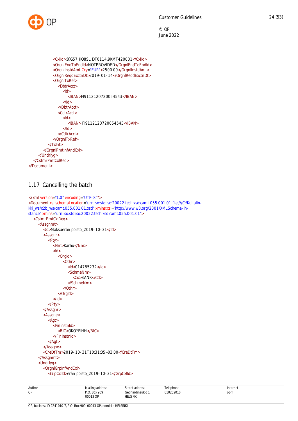

```
<CxlId>;8)G57 KO8SL DT0114.9KMT420001</CxlId>
            <OrgnlEndToEndId>NOTPROVIDED</OrgnlEndToEndId>
            <OrgnlInstdAmt Ccy="EUR">2500.00</OrgnlInstdAmt>
            <OrgnlReqdExctnDt>2019-01-14</OrgnlReqdExctnDt>
            <OrgnlTxRef>
              <DbtrAcct>
                 <Id><IBAN>FI9112120720054543</IBAN>
                </Id></DbtrAcct>
              <CdtrAcct>
                <Id><IBAN> FI9112120720054543</IBAN>
                </Id></CdtrAcct>
           </OrgnlTxRef>
         </TxInf>
       </OrgnlPmtInfAndCxl>
    </Undrlyg>
  </CstmrPmtCxlReq>
</Document>
```
## <span id="page-24-0"></span>1.17 Cancelling the batch

```
<?xml version="1.0" encoding="UTF-8"?>
<Document xsi:schemaLocation="urn:iso:std:iso:20022:tech:xsd:camt.055.001.01 file:///C:/Kultalin-
kki_ws/c2b_ws/camt.055.001.01.xsd" xmlns:xsi="http://www.w3.org/2001/XMLSchema-in-
stance" xmlns="urn:iso:std:iso:20022:tech:xsd:camt.055.001.01">
  <CstmrPmtCxlReq>
     <Assgnmt>
       <Id>Maksuerän poisto_2019-10-31</Id>
       <Assgnr>
          <Pty>
            <Nm>Karhu</Nm>
            <Id><OrgId>
                  \overline{\text{<}}Othr><Id>014785232</Id>
                    <SchmeNm>
                       <Cd>BANK</Cd>
                    </SchmeNm>
                  </Othr>
               </OrgId>
            </Id>
          </Pty>
       </Assgnr>
       <Assgne>
          <Agt>
            <FinInstnId>
               <BIC>OKOYFIHH</BIC>
            </FinInstnId>
          </Agt>
       </Assgne>
       <CreDtTm>2019-10-31T10:31:35+03:00</CreDtTm>
     </Assgnmt>
     <Undrlyg>
       <OrgnlGrpInfAndCxl>
          <GrpCxlId>erän poisto_2019-10-31</GrpCxlId>
```

| Author | Mailing address                         | Street address             | Telephone | Internet |
|--------|-----------------------------------------|----------------------------|-----------|----------|
| .      | the contract of the contract of         |                            |           |          |
| OP     | <b>Box 909</b><br>P.O.<br>00013 OP<br>. | Gebhardinaukio<br>HELSINKI | 010252010 | op.fi    |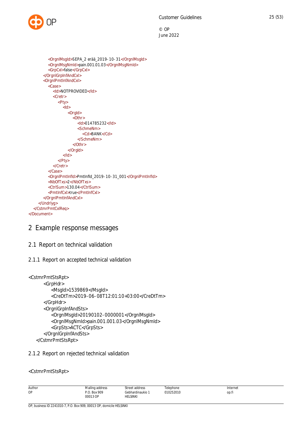

```
<OrgnlMsgId>SEPA_2 erää_2019-10-31</OrgnlMsgId>
          <OrgnlMsgNmId>pain.001.01.03</OrgnlMsgNmId>
          <GrpCxl>false</GrpCxl>
       </OrgnlGrpInfAndCxl>
       <OrgnlPmtInfAndCxl>
          <Case><Id>NOTPROVIDED</Id>
            <Cretr>
              <Pty>
                 \leq d<OrgId>
                      \overline{\text{<}}Othr
                         <Id>014785232</Id>
                         <SchmeNm>
                           <Cd>BANK</Cd>
                         </SchmeNm>
                      </Othr>
                   </OrgId>
                 </Id></Pty>
            </Cretr>
          </Case>
          <OrgnlPmtInfId>PmtInfId_2019-10-31_001</OrgnlPmtInfId>
          <NbOfTxs>2</NbOfTxs>
          <CtrlSum>130.04</CtrlSum>
          <PmtInfCxl>true</PmtInfCxl>
       </OrgnlPmtInfAndCxl>
    </Undrlyg>
  </CstmrPmtCxlReq>
</Document>
```
# <span id="page-25-0"></span>2 Example response messages

<span id="page-25-1"></span>2.1 Report on technical validation

```
2.1.1 Report on accepted technical validation
```

```
<CstmrPmtStsRpt>
       <GrpHdr>
          <MsgId>1539869</MsgId>
          <CreDtTm>2019-06-08T12:01:10+03:00</CreDtTm>
       </GrpHdr>
       <OrgnlGrpInfAndSts>
          <OrgnlMsgId>20190102-0000001</OrgnlMsgId>
          <OrgnlMsgNmId>pain.001.001.03</OrgnlMsgNmId>
          <GrpSts>ACTC</GrpSts>
       </OrgnlGrpInfAndSts>
    </CstmrPmtStsRpt>
```
#### <span id="page-25-3"></span>2.1.2 Report on rejected technical validation

<CstmrPmtStsRpt>

|        |                 |                     | Telephone      |          |
|--------|-----------------|---------------------|----------------|----------|
| Author | Mailing address | Street address      |                | Internet |
| OP     | <b>Box 909</b>  | Gebhardinaukio<br>. | 010252010<br>. | op.fi    |
|        | 00013 OP        | HELSINKI            |                |          |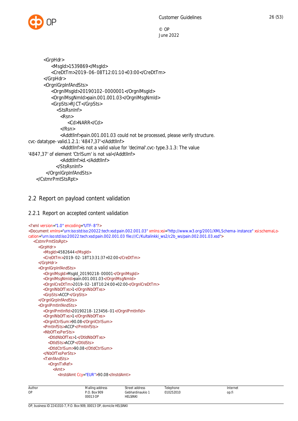

```
 <GrpHdr>
           <MsgId>1539869</MsgId>
           <CreDtTm>2019-06-08T12:01:10+03:00</CreDtTm>
        </GrpHdr>
        <OrgnlGrpInfAndSts>
           <OrgnlMsgId>20190102-0000001</OrgnlMsgId>
           <OrgnlMsgNmId>pain.001.001.03</OrgnlMsgNmId>
           <GrpSts>RJCT</GrpSts>
              <StsRsnInf>
               <Rsn>
                   <Cd>NARR</Cd>
               </Rsn>
              <Addtllnf>pain.001.001.03 could not be processed, please verify structure.
cvc-datatype-valid.1.2.1: '4847,37'</AddtlInf>
                <AddtlInf>is not a valid value for 'decimal'.cvc-type.3.1.3: The value
'4847,37' of element 'CtrlSum' is not val</Addtllnf>
               <AddtlInf>id.</AddtlInf>
             </StsRsnInf>
         </OrgnlGrpInfAndSts>
   </CstmrPmtStsRpt>
```
## <span id="page-26-0"></span>2.2 Report on payload content validation

#### <span id="page-26-1"></span>2.2.1 Report on accepted content validation

```
<?xml version="1.0" encoding="UTF-8"?>
<Document xmlns="urn:iso:std:iso:20022:tech:xsd:pain.002.001.03" xmlns:xsi="http://www.w3.org/2001/XMLSchema-instance" xsi:schemaLo-
cation="urn:iso:std:iso:20022:tech:xsd:pain.002.001.03 file:///C:/Kultalinkki_ws2/c2b_ws/pain.002.001.03.xsd">
  <CstmrPmtStsRpt>
    <GrpHdr>
       <MsgId>4582644</MsgId>
       <CreDtTm>2019-02-18T13:31:37+02:00</CreDtTm>
    </GrpHdr>
     <OrgnlGrpInfAndSts>
       <OrgnlMsgId>MsgId_20190218-00001</OrgnlMsgId>
       <OrgnlMsgNmId>pain.001.001.03</OrgnlMsgNmId>
       <OrgnlCreDtTm>2019-02-18T10:24:00+02:00</OrgnlCreDtTm>
       <OrgnlNbOfTxs>1</OrgnlNbOfTxs>
       <GrpSts>ACCP</GrpSts>
     </OrgnlGrpInfAndSts>
     <OrgnlPmtInfAndSts>
       <OrgnlPmtInfId>20190218-123456-01</OrgnlPmtInfId>
       <OrgnlNbOfTxs>1</OrgnlNbOfTxs>
       <OrgnlCtrlSum>90.08</OrgnlCtrlSum>
       <PmtInfSts>ACCP</PmtInfSts>
       <NbOfTxsPerSts>
          <DtldNbOfTxs>1</DtldNbOfTxs>
          <DtldSts>ACCP</DtldSts>
          <DtldCtrlSum>90.08</DtldCtrlSum>
       </NbOfTxsPerSts>
       <TxInfAndSts>
          <OrgnlTxRef>
            <Amt>
              <InstdAmt Ccy="EUR">90.08</InstdAmt>
```

| Author    | Mailing address           | Street address | Felephone      | Internet     |
|-----------|---------------------------|----------------|----------------|--------------|
| <b>OP</b> | .909<br>n n<br><b>Box</b> | Gebhardinaukio | 010252010<br>. | ___<br>op.fi |
|           | 00013 OP<br>.             | HELSINKI       |                |              |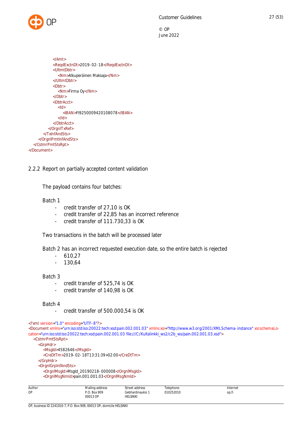

```
</Amt>
            <ReqdExctnDt>2019-02-18</ReqdExctnDt>
            <UltmtDbtr>
              <Nm>Alkuperäinen Maksaja</Nm>
           </UltmtDbtr>
           <Dbtr>
              <Nm>Firma Oy</Nm>
            </Dbtr>
           <DbtrAcct>
              <Id>
                <IBAN>FI9250009420108078</IBAN>
              </Id></DbtrAcct>
         </OrgnlTxRef>
       </TxInfAndSts>
    </OrgnlPmtInfAndSts>
  </CstmrPmtStsRpt>
</Document>
```
<span id="page-27-0"></span>2.2.2 Report on partially accepted content validation

The payload contains four batches:

#### Batch 1

- credit transfer of 27,10 is OK
- credit transfer of 22,85 has an incorrect reference
- credit transfer of 111.730,33 is OK

Two transactions in the batch will be processed later

Batch 2 has an incorrect requested execution date, so the entire batch is rejected

- 610,27
- 130,64

Batch 3

- credit transfer of 525,74 is OK
- credit transfer of 140,98 is OK

#### Batch 4

- credit transfer of 500.000,54 is OK

<?xml version="1.0" encoding="UTF-8"?>

<Document xmlns="urn:iso:std:iso:20022:tech:xsd:pain.002.001.03" xmlns:xsi="http://www.w3.org/2001/XMLSchema-instance" xsi:schemaLocation="urn:iso:std:iso:20022:tech:xsd:pain.002.001.03 file:///C:/Kultalinkki\_ws2/c2b\_ws/pain.002.001.03.xsd">

<CstmrPmtStsRpt> <GrpHdr> <MsgId>4582646</MsgId> <CreDtTm>2019-02-18T13:31:39+02:00</CreDtTm> </GrpHdr>

<OrgnlGrpInfAndSts>

<OrgnlMsgId>MsgId\_20190218-000008</OrgnlMsgId>

<OrgnlMsgNmId>pain.001.001.03</OrgnlMsgNmId>

| Author<br>OP | Mailing address<br>P.O. Box 909<br>00013 OP | Street address<br>Gebhardinaukio '<br>HELSINKI | Telephone<br>010252010 | Internet<br>op.fi |
|--------------|---------------------------------------------|------------------------------------------------|------------------------|-------------------|
|              | .                                           |                                                |                        |                   |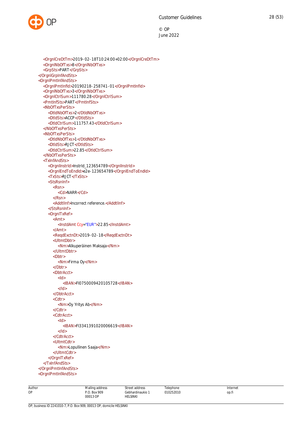

<OrgnlCreDtTm>2019-02-18T10:24:00+02:00</OrgnlCreDtTm> <OrgnlNbOfTxs>8</OrgnlNbOfTxs> <GrpSts>PART</GrpSts> </OrgnlGrpInfAndSts> <OrgnlPmtInfAndSts> <OrgnlPmtInfId>20190218-258741-01</OrgnlPmtInfId> <OrgnlNbOfTxs>3</OrgnlNbOfTxs> <OrgnlCtrlSum>111780.28</OrgnlCtrlSum> <PmtInfSts>PART</PmtInfSts> <NbOfTxsPerSts> <DtldNbOfTxs>2</DtldNbOfTxs> <DtldSts>ACCP</DtldSts> <DtldCtrlSum>111757.43</DtldCtrlSum> </NbOfTxsPerSts> <NhOfTxsPerSts> <DtldNbOfTxs>1</DtldNbOfTxs> <DtldSts>RJCT</DtldSts> <DtldCtrlSum>22.85</DtldCtrlSum> </NbOfTxsPerSts> <TxInfAndSts> <OrgnlInstrId>InstrId\_123654789</OrgnlInstrId> <OrgnlEndToEndId>e2e-123654789</OrgnlEndToEndId> <TxSts>RJCT</TxSts> <StsRsnInf> <Rsn> <Cd>NARR</Cd> </Rsn> <AddtlInf>Incorrect reference.</AddtlInf> </StsRsnInf> <OrgnlTxRef> <Amt> <InstdAmt Ccy="EUR">22.85</InstdAmt> </Amt> <ReqdExctnDt>2019-02-18</ReqdExctnDt> <UltmtDbtr> <Nm>Alkuperäinen Maksaja</Nm> </UltmtDbtr> <Dbtr> <Nm>Firma Oy</Nm> </Dbtr> <DbtrAcct> <Id> <IBAN>FI0750009420105728</IBAN>  $<$ /Id $>$ </DbtrAcct> <Cdtr> <Nm>Oy Yritys Ab</Nm> </Cdtr> <CdtrAcct> <Id> <IBAN>FI3341391020006619</IBAN>  $<$ /Id $>$ </CdtrAcct> <UltmtCdtr> <Nm>Lopullinen Saaja</Nm> </UltmtCdtr> </OrgnlTxRef> </TxInfAndSts> </OrgnlPmtInfAndSts> <OrgnlPmtInfAndSts>

Telephone 010252010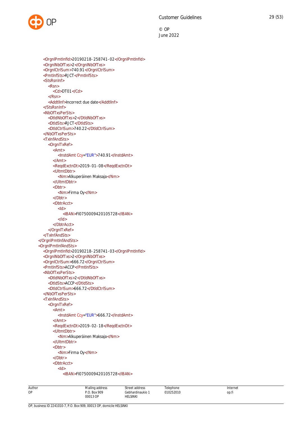<OrgnlPmtInfId>20190218-258741-02</OrgnlPmtInfId> <OrgnlNbOfTxs>2</OrgnlNbOfTxs> <OrgnlCtrlSum>740.91</OrgnlCtrlSum> <PmtInfSts>RJCT</PmtInfSts> <StsRsnInf> <Rsn> <Cd>DT01</Cd> </Rsn> <AddtlInf>Incorrect due date</AddtlInf> </StsRsnInf> <NbOfTxsPerSts> <DtldNbOfTxs>2</DtldNbOfTxs> <DtldSts>RJCT</DtldSts> <DtldCtrlSum>740.22</DtldCtrlSum> </NbOfTxsPerSts> <TxInfAndSts> <OrgnlTxRef> <Amt> <InstdAmt Ccy="EUR">740.91</InstdAmt> </Amt> <ReqdExctnDt>2019-01-08</ReqdExctnDt> <UltmtDbtr> <Nm>Alkuperäinen Maksaja</Nm> </UltmtDbtr> <Dbtr> <Nm>Firma Oy</Nm> </Dbtr> <DbtrAcct>  $<$ Id $>$ <IBAN>FI0750009420105728</IBAN>  $<$ /Id $>$ </DbtrAcct> </OrgnlTxRef> </TxInfAndSts> </OrgnlPmtInfAndSts> <OrgnlPmtInfAndSts> <OrgnlPmtInfId>20190218-258741-03</OrgnlPmtInfId> <OrgnlNbOfTxs>2</OrgnlNbOfTxs> <OrgnlCtrlSum>666.72</OrgnlCtrlSum> <PmtInfSts>ACCP</PmtInfSts> <NbOfTxsPerSts> <DtldNbOfTxs>2</DtldNbOfTxs> <DtldSts>ACCP</DtldSts> <DtldCtrlSum>666.72</DtldCtrlSum> </NbOfTxsPerSts> <TxInfAndSts> <OrgnlTxRef> <Amt> <InstdAmt Ccy="EUR">666.72</InstdAmt> </Amt> <ReqdExctnDt>2019-02-18</ReqdExctnDt> <UltmtDbtr> <Nm>Alkuperäinen Maksaja</Nm> </UltmtDbtr> <Dbtr> <Nm>Firma Oy</Nm> </Dbtr> <DbtrAcct> <Id> <IBAN>FI0750009420105728</IBAN>

Mailing address P.O. Box 909 00013 OP Street address Gebhardinaukio 1 HELSINKI Telephone 010252010

Author OP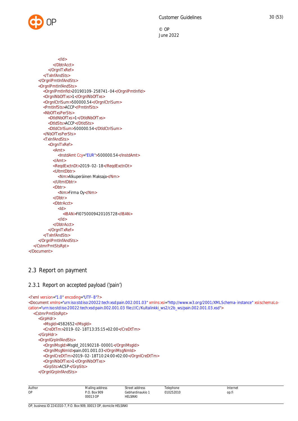

```
</Id>
            </DbtrAcct>
         </OrgnlTxRef>
       </TxInfAndSts>
    </OrgnlPmtInfAndSts>
    <OrgnlPmtInfAndSts>
       <OrgnlPmtInfId>20190109-258741-04</OrgnlPmtInfId>
       <OrgnlNbOfTxs>1</OrgnlNbOfTxs>
       <OrgnlCtrlSum>500000.54</OrgnlCtrlSum>
       <PmtInfSts>ACCP</PmtInfSts>
       <NbOfTxsPerSts>
         <DtldNbOfTxs>1</DtldNbOfTxs>
         <DtldSts>ACCP</DtldSts>
         <DtldCtrlSum>500000.54</DtldCtrlSum>
       </NbOfTxsPerSts>
       <TxInfAndSts>
         <OrgnlTxRef>
            <Amt>
              <InstdAmt Ccy="EUR">500000.54</InstdAmt>
            </Amt>
            <ReqdExctnDt>2019-02-18</ReqdExctnDt>
            <UltmtDbtr>
              <Nm>Alkuperäinen Maksaja</Nm>
            </UltmtDbtr>
            <Dbtr>
              <Nm>Firma Oy</Nm>
            </Dbtr>
            <DbtrAcct>
              <Id><IBAN>FI0750009420105728</IBAN>
              </Id></DbtrAcct>
         </OrgnlTxRef>
       </TxInfAndSts>
    </OrgnlPmtInfAndSts>
  </CstmrPmtStsRpt>
</Document>
```
# <span id="page-30-0"></span>2.3 Report on payment

#### <span id="page-30-1"></span>2.3.1 Report on accepted payload ('pain')

```
<?xml version="1.0" encoding="UTF-8"?>
<Document xmlns="urn:iso:std:iso:20022:tech:xsd:pain.002.001.03" xmlns:xsi="http://www.w3.org/2001/XMLSchema-instance" xsi:schemaLo-
cation="urn:iso:std:iso:20022:tech:xsd:pain.002.001.03 file:///C:/Kultalinkki_ws2/c2b_ws/pain.002.001.03.xsd">
  <CstmrPmtStsRpt>
    <GrpHdr>
       <MsgId>4582652</MsgId>
       <CreDtTm>2019-02-18T13:35:15+02:00</CreDtTm>
    </GrpHdr>
    <OrgnlGrpInfAndSts>
       <OrgnlMsgId>MsgId_20190218-00001</OrgnlMsgId>
       <OrgnlMsgNmId>pain.001.001.03</OrgnlMsgNmId>
       <OrgnlCreDtTm>2019-02-18T10:24:00+02:00</OrgnlCreDtTm>
       <OrgnlNbOfTxs>1</OrgnlNbOfTxs>
       <GrpSts>ACSP</GrpSts>
    </OrgnlGrpInfAndSts>
```

| Author<br>. | ı address<br>Mailing<br>the contract of the contract of<br>$  -$ | itre،<br>े address<br>.                                     | elephone  | Internet<br>. |
|-------------|------------------------------------------------------------------|-------------------------------------------------------------|-----------|---------------|
| <b>OP</b>   | Box 909                                                          | ìebhardinaukio<br>.<br>.                                    | 110252010 | op.fi         |
|             | 00013 OP<br>.                                                    | HELSINKI<br>the contract of the contract of the contract of |           |               |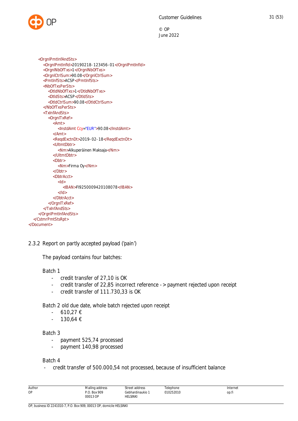

```
<OrgnlPmtInfAndSts>
       <OrgnlPmtInfId>20190218-123456-01</OrgnlPmtInfId>
       <OrgnlNbOfTxs>1</OrgnlNbOfTxs>
       <OrgnlCtrlSum>90.08</OrgnlCtrlSum>
       <PmtInfSts>ACSP</PmtInfSts>
       <NbOfTxsPerSts>
         <DtldNbOfTxs>1</DtldNbOfTxs>
         <DtldSts>ACSP</DtldSts>
         <DtldCtrlSum>90.08</DtldCtrlSum>
       </NbOfTxsPerSts>
       <TxInfAndSts>
         <OrgnlTxRef>
           <Amt>
              <InstdAmt Ccy="EUR">90.08</InstdAmt>
           </Amt>
           <ReqdExctnDt>2019-02-18</ReqdExctnDt>
           <UltmtDbtr>
              <Nm>Alkuperäinen Maksaja</Nm>
           </UltmtDbtr>
           <Dbtr>
              <Nm>Firma Oy</Nm>
            </Dbtr>
            <DbtrAcct>
              <Id>
                <IBAN>FI9250009420108078</IBAN>
              </Id></DbtrAcct>
         </OrgnlTxRef>
       </TxInfAndSts>
    </OrgnlPmtInfAndSts>
  </CstmrPmtStsRpt>
</Document>
```
<span id="page-31-0"></span>2.3.2 Report on partly accepted payload ('pain')

The payload contains four batches:

#### Batch 1

- credit transfer of 27,10 is OK
- credit transfer of 22,85 incorrect reference -> payment rejected upon receipt
- credit transfer of 111.730,33 is OK

Batch 2 old due date, whole batch rejected upon receipt

- 610,27 €
- 130,64 €

Batch 3

- payment 525,74 processed
- payment 140,98 processed

#### Batch 4

- credit transfer of 500.000,54 not processed, because of insufficient balance

| Author<br>OP | Mailing address          | Street address                      | Telephone      | Internet |
|--------------|--------------------------|-------------------------------------|----------------|----------|
|              | P.O. Box 909<br>00013 OP | Gebhardinaukio 1<br><b>HELSINKI</b> | 010252010<br>. | op.fi    |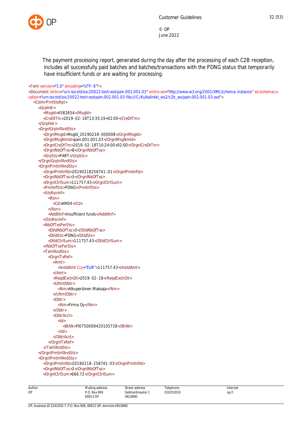

The payment processing report, generated during the day after the processing of each C2B reception, includes all successfully paid batches and batches/transactions with the PDNG status that temporarily have insufficient funds or are waiting for processing.

#### <?xml version="1.0" encoding="UTF-8"?>

<Document xmlns="urn:iso:std:iso:20022:tech:xsd:pain.002.001.03" xmlns:xsi="http://www.w3.org/2001/XMLSchema-instance" xsi:schemaLocation="urn:iso:std:iso:20022:tech:xsd:pain.002.001.03 file:///C:/Kultalinkki\_ws2/c2b\_ws/pain.002.001.03.xsd"> <CstmrPmtStsRpt> <GrpHdr> <MsgId>4582654</MsgId> <CreDtTm>2019-02-18T13:35:19+02:00</CreDtTm> </GrpHdr> <OrgnlGrpInfAndSts> <OrgnlMsgId>MsgId\_20190218-000008</OrgnlMsgId> <OrgnlMsgNmId>pain.001.001.03</OrgnlMsgNmId> <OrgnlCreDtTm>2019-02-18T10:24:00+02:00</OrgnlCreDtTm> <OrgnlNbOfTxs>8</OrgnlNbOfTxs> <GrpSts>PART</GrpSts> </OrgnlGrpInfAndSts> <OrgnlPmtInfAndSts> <OrgnlPmtInfId>20190218258741-01</OrgnlPmtInfId> <OrgnlNbOfTxs>3</OrgnlNbOfTxs> <OrgnlCtrlSum>111757.43</OrgnlCtrlSum> <PmtInfSts>PDNG</PmtInfSts> <StsRsnInf> <Rsn> <Cd>AM04</Cd> </Rsn> <AddtlInf>Insufficient funds</AddtlInf> </StsRsnInf> <NbOfTxsPerSts> <DtldNbOfTxs>3</DtldNbOfTxs> <DtldSts>PDNG</DtldSts> <DtldCtrlSum>111757.43</DtldCtrlSum> </NbOfTxsPerSts> <TxInfAndSts> <OrgnlTxRef> <Amt> <InstdAmt Ccy="EUR">111757.43</InstdAmt> </Amt> <ReqdExctnDt>2019-02-18</ReqdExctnDt> <UltmtDbtr> <Nm>Alkuperäinen Maksaja</Nm> </UltmtDbtr> <Dhtr> <Nm>Firma Oy</Nm> </Dbtr> <DbtrAcct> <Id> <IBAN>FI0750009420105728</IBAN>  $<$ /Id $>$ </DbtrAcct> </OrgnlTxRef> </TxInfAndSts> </OrgnlPmtInfAndSts> <OrgnlPmtInfAndSts> <OrgnlPmtInfId>20190218-258741-03</OrgnlPmtInfId> <OrgnlNbOfTxs>2</OrgnlNbOfTxs> <OrgnlCtrlSum>666.72</OrgnlCtrlSum>

Mailing address P.O. Box 909

Street address Gebhardinaukio 1 HELSINKI

Telephone 010252010

Author OP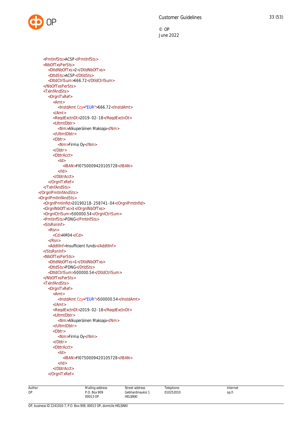<PmtInfSts>ACSP</PmtInfSts> <NbOfTxsPerSts> <DtldNbOfTxs>2</DtldNbOfTxs> <DtldSts>ACSP</DtldSts> <DtldCtrlSum>666.72</DtldCtrlSum> </NbOfTxsPerSts> <TxInfAndSts> <OrgnlTxRef> <Amt> <InstdAmt Ccy="EUR">666.72</InstdAmt> </Amt> <ReqdExctnDt>2019-02-18</ReqdExctnDt> <UltmtDbtr> <Nm>Alkuperäinen Maksaja</Nm> </UltmtDbtr> <Dbtr> <Nm>Firma Oy</Nm> </Dbtr> <DbtrAcct> <Id> <IBAN>FI0750009420105728</IBAN>  $<$ /Id $>$ </DbtrAcct> </OrgnlTxRef> </TxInfAndSts> </OrgnlPmtInfAndSts> <OrgnlPmtInfAndSts> <OrgnlPmtInfId>20190218-258741-04</OrgnlPmtInfId> <OrgnlNbOfTxs>1</OrgnlNbOfTxs> <OrgnlCtrlSum>500000.54</OrgnlCtrlSum> <PmtInfSts>PDNG</PmtInfSts> <StsRsnInf> <Rsn> <Cd>AM04</Cd> </Rsn> <AddtlInf>Insufficient funds</AddtlInf> </StsRsnInf> <NbOfTxsPerSts> <DtldNbOfTxs>1</DtldNbOfTxs> <DtldSts>PDNG</DtldSts> <DtldCtrlSum>500000.54</DtldCtrlSum> </NbOfTxsPerSts> <TxInfAndSts> <OrgnlTxRef> <Amt> <InstdAmt Ccy="EUR">500000.54</InstdAmt> </Amt> <ReqdExctnDt>2019-02-18</ReqdExctnDt> <UltmtDbtr> <Nm>Alkuperäinen Maksaja</Nm> </UltmtDbtr> <Dbtr> <Nm>Firma Oy</Nm> </Dbtr> <DbtrAcct>  $<$ Id $>$ <IBAN>FI0750009420105728</IBAN>  $<$ /Id $>$ </DbtrAcct> </OrgnlTxRef>

Author OP

Mailing address P.O. Box 909 00013 OP

Street address Gebhardinaukio 1 HELSINKI

Telephone 010252010 Internet op.fi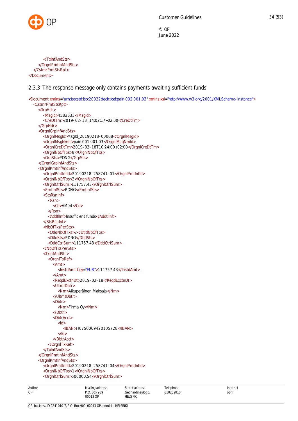

</TxInfAndSts> </OrgnlPmtInfAndSts> </CstmrPmtStsRpt> </Document>

#### <span id="page-34-0"></span>2.3.3 The response message only contains payments awaiting sufficient funds

```
<Document xmlns="urn:iso:std:iso:20022:tech:xsd:pain.002.001.03" xmlns:xsi="http://www.w3.org/2001/XMLSchema-instance">
  <CstmrPmtStsRpt>
    <GrpHdr>
       <MsgId>4582633</MsgId>
       <CreDtTm>2019-02-18T14:02:17+02:00</CreDtTm>
    </GrpHdr>
    <OrgnlGrpInfAndSts>
       <OrgnlMsgId>MsgId_20190218-00008</OrgnlMsgId>
       <OrgnlMsgNmId>pain.001.001.03</OrgnlMsgNmId>
       <OrgnlCreDtTm>2019-02-18T10:24:00+02:00</OrgnlCreDtTm>
       <OrgnlNbOfTxs>8</OrgnlNbOfTxs>
       <GrpSts>PDNG</GrpSts>
    </OrgnlGrpInfAndSts>
    <OrgnlPmtInfAndSts>
       <OrgnlPmtInfId>20190218-258741-01</OrgnlPmtInfId>
       <OrgnlNbOfTxs>2</OrgnlNbOfTxs>
       <OrgnlCtrlSum>111757.43</OrgnlCtrlSum>
       <PmtInfSts>PDNG</PmtInfSts>
       <StsRsnInf>
         <Rsn>
            <Cd>AM04</Cd>
         </Rsn>
         <AddtlInf>Insufficient funds</AddtlInf>
       </StsRsnInf>
       <NbOfTxsPerSts>
         <DtldNbOfTxs>2</DtldNbOfTxs>
         <DtldSts>PDNG</DtldSts>
         <DtldCtrlSum>111757.43</DtldCtrlSum>
       </NbOfTxsPerSts>
       <TxInfAndSts>
         <OrgnlTxRef>
           <Amt>
              <InstdAmt Ccy="EUR">111757.43</InstdAmt>
            </Amt>
            <ReqdExctnDt>2019-02-18</ReqdExctnDt>
            <UltmtDbtr>
              <Nm>Alkuperäinen Maksaja</Nm>
            </UltmtDbtr>
            <Dbtr>
              <Nm>Firma Oy</Nm>
            </Dbtr>
            <DbtrAcct>
              <Id>
                 <IBAN>FI0750009420105728</IBAN>
              </Id></DbtrAcct>
         </OrgnlTxRef>
       </TxInfAndSts>
    </OrgnlPmtInfAndSts>
    <OrgnlPmtInfAndSts>
       <OrgnlPmtInfId>20190218-258741-04</OrgnlPmtInfId>
       <OrgnlNbOfTxs>1</OrgnlNbOfTxs>
       <OrgnlCtrlSum>500000.54</OrgnlCtrlSum>
```

| Author | Mailing address          | Street address                      | Telephone | Internet |
|--------|--------------------------|-------------------------------------|-----------|----------|
| ОP     | P.O. Box 909<br>00013 OP | Gebhardinaukio 1<br><b>HELSINKI</b> | 010252010 | op.fi    |
|        |                          |                                     |           |          |

Author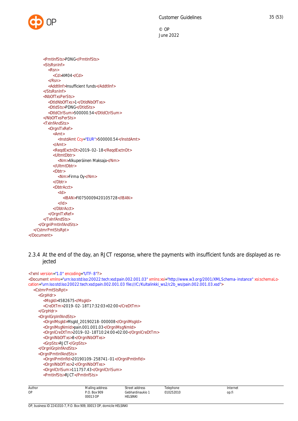

```
<PmtInfSts>PDNG</PmtInfSts>
       <StsRsnInf>
         <Rsn>
           <Cd>AM04</Cd>
         </Rsn>
         <AddtlInf>Insufficient funds</AddtlInf>
       </StsRsnInf>
       <NbOfTxsPerSts>
         <DtldNbOfTxs>1</DtldNbOfTxs>
         <DtldSts>PDNG</DtldSts>
         <DtldCtrlSum>500000.54</DtldCtrlSum>
       </NbOfTxsPerSts>
       <TxInfAndSts>
         <OrgnlTxRef>
            <Amt>
              <InstdAmt Ccy="EUR">500000.54</InstdAmt>
            </Amt>
            <ReqdExctnDt>2019-02-18</ReqdExctnDt>
            <UltmtDbtr>
              <Nm>Alkuperäinen Maksaja</Nm>
            </UltmtDbtr>
            <Dbtr>
              <Nm>Firma Oy</Nm>
            </Dbtr>
            <DbtrAcct>
              <Id><IBAN>FI0750009420105728</IBAN>
              </Id></DbtrAcct>
         </OrgnlTxRef>
       </TxInfAndSts>
    </OrgnlPmtInfAndSts>
  </CstmrPmtStsRpt>
</Document>
```
<span id="page-35-0"></span>2.3.4 At the end of the day, an RJCT response, where the payments with insufficient funds are displayed as rejected

```
Author
OP
                             Mailing address
                             P.O. Box 909
                             00013 OP
                                                  Street address
                                                  Gebhardinaukio 1
                                                  HELSINKI
                                                                       Telephone
                                                                      010252010
                                                                                                       Internet
                                                                                                       op.fi
<?xml version="1.0" encoding="UTF-8"?>
<Document xmlns="urn:iso:std:iso:20022:tech:xsd:pain.002.001.03" xmlns:xsi="http://www.w3.org/2001/XMLSchema-instance" xsi:schemaLo-
cation="urn:iso:std:iso:20022:tech:xsd:pain.002.001.03 file:///C:/Kultalinkki_ws2/c2b_ws/pain.002.001.03.xsd">
  <CstmrPmtStsRpt>
     <GrpHdr>
       <MsgId>4582675</MsgId>
       <CreDtTm>2019-02-18T17:32:03+02:00</CreDtTm>
     </GrpHdr>
     <OrgnlGrpInfAndSts>
       <OrgnlMsgId>MsgId_20190218-000008</OrgnlMsgId>
       <OrgnlMsgNmId>pain.001.001.03</OrgnlMsgNmId>
       <OrgnlCreDtTm>2019-02-18T10:24:00+02:00</OrgnlCreDtTm>
       <OrgnlNbOfTxs>8</OrgnlNbOfTxs>
       <GrpSts>RJCT</GrpSts>
     </OrgnlGrpInfAndSts>
     <OrgnlPmtInfAndSts>
       <OrgnlPmtInfId>20190109-258741-01</OrgnlPmtInfId>
       <OrgnlNbOfTxs>2</OrgnlNbOfTxs>
       <OrgnlCtrlSum>111757.43</OrgnlCtrlSum>
       <PmtInfSts>RJCT</PmtInfSts>
```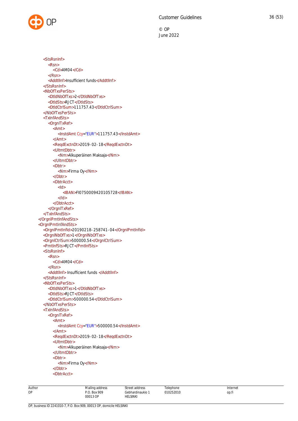

<StsRsnInf> <Rsn> <Cd>AM04</Cd> </Rsn> <AddtlInf>Insufficient funds</AddtlInf> </StsRsnInf> <NbOfTxsPerSts> <DtldNbOfTxs>2</DtldNbOfTxs> <DtldSts>RJCT</DtldSts> <DtldCtrlSum>111757.43</DtldCtrlSum> </NbOfTxsPerSts> <TxInfAndSts> <OrgnlTxRef> <Amt> <InstdAmt Ccy="EUR">111757.43</InstdAmt> </Amt> <ReqdExctnDt>2019-02-18</ReqdExctnDt> <UltmtDbtr> <Nm>Alkuperäinen Maksaja</Nm> </UltmtDbtr> <Dbtr> <Nm>Firma Oy</Nm> </Dbtr> <DbtrAcct> <Id> <IBAN>FI0750009420105728</IBAN>  $<$ /Id $>$ </DbtrAcct> </OrgnlTxRef> </TxInfAndSts> </OrgnlPmtInfAndSts> <OrgnlPmtInfAndSts> <OrgnlPmtInfId>20190218-258741-04</OrgnlPmtInfId> <OrgnlNbOfTxs>1</OrgnlNbOfTxs> <OrgnlCtrlSum>500000.54</OrgnlCtrlSum> <PmtInfSts>RJCT</PmtInfSts> <StsRsnInf> <Rsn> <Cd>AM04</Cd> </Rsn> <AddtlInf> Insufficient funds </AddtlInf> </StsRsnInf> <NbOfTxsPerSts> <DtldNbOfTxs>1</DtldNbOfTxs> <DtldSts>RJCT</DtldSts> <DtldCtrlSum>500000.54</DtldCtrlSum> </NbOfTxsPerSts> <TxInfAndSts> <OrgnlTxRef> <Amt> <InstdAmt Ccy="EUR">500000.54</InstdAmt> </Amt> <ReqdExctnDt>2019-02-18</ReqdExctnDt> <UltmtDbtr> <Nm>Alkuperäinen Maksaja</Nm> </UltmtDbtr> <Dbtr> <Nm>Firma Oy</Nm> </Dbtr> <DbtrAcct>

Author OP

Mailing address P.O. Box 909 00013 OP

Street address Gebhardinaukio 1 HELSINKI

Telephone 010252010 Internet op.fi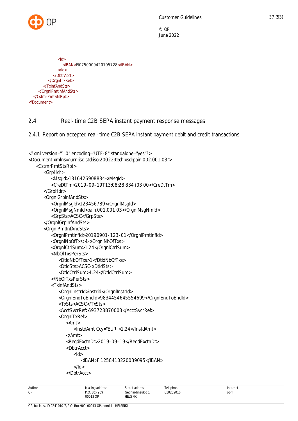

```
<Id>
                 <IBAN>FI0750009420105728</IBAN>
              </Id></DbtrAcct>
         </OrgnlTxRef>
       </TxInfAndSts>
    </OrgnlPmtInfAndSts>
  </CstmrPmtStsRpt>
</Document>
```
## <span id="page-37-0"></span>2.4 Real-time C2B SEPA instant payment response messages

<span id="page-37-1"></span>2.4.1 Report on accepted real-time C2B SEPA instant payment debit and credit transactions

```
<?xml version="1.0" encoding="UTF-8" standalone="yes"?>
<Document xmlns="urn:iso:std:iso:20022:tech:xsd:pain.002.001.03">
    <CstmrPmtStsRpt>
       <GrpHdr>
          <MsgId>1316426908834</MsgId>
          <CreDtTm>2019-09-19T13:08:28.834+03:00</CreDtTm>
       </GrpHdr>
       <OrgnlGrpInfAndSts>
          <OrgnlMsgId>123456789</OrgnlMsgId>
          <OrgnlMsgNmId>pain.001.001.03</OrgnlMsgNmId>
           <GrpSts>ACSC</GrpSts>
       </OrgnlGrpInfAndSts>
       <OrgnlPmtInfAndSts>
          <OrgnlPmtInfId>20190901-123-01</OrgnlPmtInfId>
          <OrgnlNbOfTxs>1</OrgnlNbOfTxs>
          <OrgnlCtrlSum>1.24</OrgnlCtrlSum>
          <NbOfTxsPerSts>
              <DtldNbOfTxs>1</DtldNbOfTxs>
              <DtldSts>ACSC</DtldSts>
              <DtldCtrlSum>1.24</DtldCtrlSum>
          </NbOfTxsPerSts>
          <TxInfAndSts>
              <OrgnlInstrId>instrid</OrgnlInstrId>
              <OrgnlEndToEndId>9834454645554699</OrgnlEndToEndId>
              <TxSts>ACSC</TxSts>
              <AcctSvcrRef>593728B70003</AcctSvcrRef>
              <OrgnlTxRef>
                 <Amt>
                    <InstdAmt Ccy="EUR">1.24</InstdAmt>
                 </Amt>
                 <ReqdExctnDt>2019-09-19</ReqdExctnDt>
                 <DbtrAcct>
                   <Id> <IBAN>FI1258410220039095</IBAN>
                    </Id>
                 </DbtrAcct>
```

| Author | Mailing address      | stree <sup>+</sup><br>address | l elephone      | Internet |
|--------|----------------------|-------------------------------|-----------------|----------|
| OP     | <b>Box 909</b><br>pΩ | iebhardinaukio                | 10252010<br>า1เ | op.fi    |
|        | 00013 OP<br>.        | <b>HELSINKI</b>               |                 |          |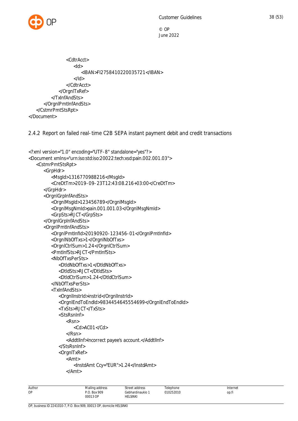

```
 <CdtrAcct>
                    <ld> <IBAN>FI2758410220035721</IBAN>
                    </Id> </CdtrAcct>
              </OrgnlTxRef>
           </TxInfAndSts>
       </OrgnlPmtInfAndSts>
    </CstmrPmtStsRpt>
</Document>
```
<span id="page-38-0"></span>2.4.2 Report on failed real-time C2B SEPA instant payment debit and credit transactions

```
<?xml version="1.0" encoding="UTF-8" standalone="yes"?>
<Document xmlns="urn:iso:std:iso:20022:tech:xsd:pain.002.001.03">
    <CstmrPmtStsRpt>
       <GrpHdr>
           <MsgId>1316770988216</MsgId>
           <CreDtTm>2019-09-23T12:43:08.216+03:00</CreDtTm>
       </GrpHdr>
       <OrgnlGrpInfAndSts>
           <OrgnlMsgId>123456789</OrgnlMsgId>
           <OrgnlMsgNmId>pain.001.001.03</OrgnlMsgNmId>
           <GrpSts>RJCT</GrpSts>
       </OrgnlGrpInfAndSts>
       <OrgnlPmtInfAndSts>
           <OrgnlPmtInfId>20190920-123456-01</OrgnlPmtInfId>
           <OrgnlNbOfTxs>1</OrgnlNbOfTxs>
           <OrgnlCtrlSum>1.24</OrgnlCtrlSum>
           <PmtInfSts>RJCT</PmtInfSts>
           <NbOfTxsPerSts>
              <DtldNbOfTxs>1</DtldNbOfTxs>
              <DtldSts>RJCT</DtldSts>
              <DtldCtrlSum>1.24</DtldCtrlSum>
           </NbOfTxsPerSts>
           <TxInfAndSts>
              <OrgnlInstrId>instrid</OrgnlInstrId>
              <OrgnlEndToEndId>9834454645554699</OrgnlEndToEndId>
              <TxSts>RJCT</TxSts>
              <StsRsnInf>
                 <Rsn>
                     <Cd>AC01</Cd>
                 </Rsn>
                 <AddtlInf>Incorrect payee's account.</AddtlInf>
              </StsRsnInf>
              <OrgnlTxRef>
                 <Amt>
                     <InstdAmt Ccy="EUR">1.24</InstdAmt>
                 </Amt>
```
Author OP Mailing address P.O. Box 909 00013 OP Street address Gebhardinaukio 1 HELSINKI Telephone 010252010 Internet op.fi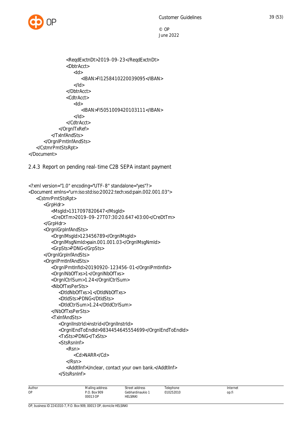

```
 <ReqdExctnDt>2019-09-23</ReqdExctnDt>
                 <DbtrAcct>
                    <Id> <IBAN>FI1258410220039095</IBAN>
                    </Id> </DbtrAcct>
                 <CdtrAcct>
                    <Id> <IBAN>FI5051009420103111</IBAN>
                     </Id>
                 </CdtrAcct>
              </OrgnlTxRef>
           </TxInfAndSts>
       </OrgnlPmtInfAndSts>
    </CstmrPmtStsRpt>
</Document>
```
<span id="page-39-0"></span>2.4.3 Report on pending real-time C2B SEPA instant payment

```
<?xml version="1.0" encoding="UTF-8" standalone="yes"?>
<Document xmlns="urn:iso:std:iso:20022:tech:xsd:pain.002.001.03">
    <CstmrPmtStsRpt>
       <GrpHdr>
          <MsgId>1317097820647</MsgId>
          <CreDtTm>2019-09-27T07:30:20.647+03:00</CreDtTm>
       </GrpHdr>
       <OrgnlGrpInfAndSts>
          <OrgnlMsgId>123456789</OrgnlMsgId>
          <OrgnlMsgNmId>pain.001.001.03</OrgnlMsgNmId>
           <GrpSts>PDNG</GrpSts>
       </OrgnlGrpInfAndSts>
       <OrgnlPmtInfAndSts>
          <OrgnlPmtInfId>20190920-123456-01</OrgnlPmtInfId>
          <OrgnlNbOfTxs>1</OrgnlNbOfTxs>
          <OrgnlCtrlSum>1.24</OrgnlCtrlSum>
          <NbOfTxsPerSts>
              <DtldNbOfTxs>1</DtldNbOfTxs>
              <DtldSts>PDNG</DtldSts>
              <DtldCtrlSum>1.24</DtldCtrlSum>
          </NbOfTxsPerSts>
          <TxInfAndSts>
              <OrgnlInstrId>instrid</OrgnlInstrId>
              <OrgnlEndToEndId>9834454645554699</OrgnlEndToEndId>
              <TxSts>PDNG</TxSts>
              <StsRsnInf>
                 <Rsn>
                     <Cd>NARR</Cd>
                 </Rsn>
                 <AddtlInf>Unclear, contact your own bank.</AddtlInf>
              </StsRsnInf>
```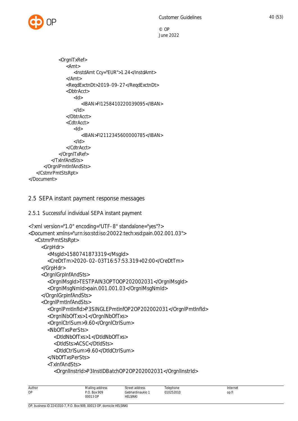

```
 <OrgnlTxRef>
                 <Amt>
                     <InstdAmt Ccy="EUR">1.24</InstdAmt>
                 </Amt>
                 <ReqdExctnDt>2019-09-27</ReqdExctnDt>
                 <DbtrAcct>
                     <Id>
                        <IBAN>FI1258410220039095</IBAN>
                     </Id>
                 </DbtrAcct>
                 <CdtrAcct>
                    <Id> <IBAN>FI2112345600000785</IBAN>
                    </Id> </CdtrAcct>
              </OrgnlTxRef>
           </TxInfAndSts>
       </OrgnlPmtInfAndSts>
    </CstmrPmtStsRpt>
</Document>
```
# <span id="page-40-0"></span>2.5 SEPA instant payment response messages

```
2.5.1 Successful individual SEPA instant payment
```

```
<?xml version="1.0" encoding="UTF-8" standalone="yes"?>
<Document xmlns="urn:iso:std:iso:20022:tech:xsd:pain.002.001.03">
   <CstmrPmtStsRpt>
      <GrpHdr>
        <MsgId>1580741873319</MsgId>
        <CreDtTm>2020-02-03T16:57:53.319+02:00</CreDtTm>
      </GrpHdr>
      <OrgnlGrpInfAndSts>
        <OrgnlMsgId>TESTPAIN3OPTOOP202002031</OrgnlMsgId>
        <OrgnlMsgNmId>pain.001.001.03</OrgnlMsgNmId>
     </OrgnlGrpInfAndSts>
     <OrgnlPmtInfAndSts>
        <OrgnlPmtInfId>P3SINGLEPmtInfOP2OP202002031</OrgnlPmtInfId>
        <OrgnlNbOfTxs>1</OrgnlNbOfTxs>
        <OrgnlCtrlSum>9.60</OrgnlCtrlSum>
        <NbOfTxsPerSts>
           <DtldNbOfTxs>1</DtldNbOfTxs>
           <DtldSts>ACSC</DtldSts>
           <DtldCtrlSum>9.60</DtldCtrlSum>
        </NbOfTxsPerSts>
        <TxInfAndSts>
           <OrgnlInstrId>P3InstIDBatchOP2OP202002031</OrgnlInstrId>
```
Author OP Mailing address P.O. Box 909 00013 OP Street address Gebhardinaukio 1 HELSINKI Telephone 010252010 Internet op.fi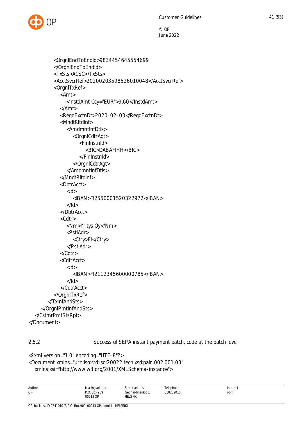

```
 <OrgnlEndToEndId>9834454645554699
           </OrgnlEndToEndId>
           <TxSts>ACSC</TxSts>
           <AcctSvcrRef>20200203598526010048</AcctSvcrRef>
           <OrgnlTxRef>
             <Amt>
                <InstdAmt Ccy="EUR">9.60</InstdAmt>
             </Amt>
             <ReqdExctnDt>2020-02-03</ReqdExctnDt>
             <MndtRltdInf>
                <AmdmntInfDtls>
                   <OrgnlCdtrAgt>
                     <FinInstnId>
                        <BIC>DABAFIHH</BIC>
                     </FinInstnId>
                   </OrgnlCdtrAgt>
                </AmdmntInfDtls>
             </MndtRltdInf>
             <DbtrAcct>
               <Id> <IBAN>FI2550001520322972</IBAN>
               </Id> </DbtrAcct>
             <Cdtr>
                <Nm>Yritys Oy</Nm>
                <PstlAdr>
                   <Ctry>FI</Ctry>
                </PstlAdr>
             </Cdtr>
             <CdtrAcct>
               >Id> <IBAN>FI2112345600000785</IBAN>
               </Id> </CdtrAcct>
           </OrgnlTxRef>
        </TxInfAndSts>
      </OrgnlPmtInfAndSts>
   </CstmrPmtStsRpt>
</Document>
```
<span id="page-41-0"></span>

2.5.2 Successful SEPA instant payment batch, code at the batch level

<?xml version="1.0" encoding="UTF-8"?> <Document xmlns="urn:iso:std:iso:20022:tech:xsd:pain.002.001.03" xmlns:xsi="http://www.w3.org/2001/XMLSchema-instance">

| Author | Mailing address | Street address   | Telephone | Internet |
|--------|-----------------|------------------|-----------|----------|
| OP     | P.O. Box 909    | Gebhardinaukio 1 | 010252010 | op.fi    |
|        | 00013 OP        | HELSINKI         |           |          |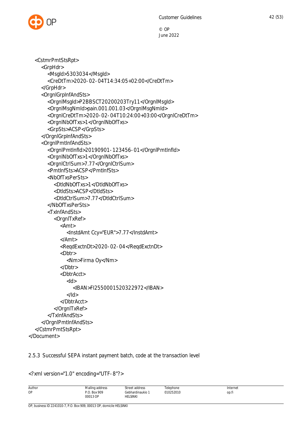

 <CstmrPmtStsRpt> <GrpHdr> <MsgId>5303034</MsgId> <CreDtTm>2020-02-04T14:34:05+02:00</CreDtTm> </GrpHdr> <OrgnlGrpInfAndSts> <OrgnlMsgId>P2BBSCT20200203Try11</OrgnlMsgId> <OrgnlMsgNmId>pain.001.001.03</OrgnlMsgNmId> <OrgnlCreDtTm>2020-02-04T10:24:00+03:00</OrgnlCreDtTm> <OrgnlNbOfTxs>1</OrgnlNbOfTxs> <GrpSts>ACSP</GrpSts> </OrgnlGrpInfAndSts> <OrgnlPmtInfAndSts> <OrgnlPmtInfId>20190901-123456-01</OrgnlPmtInfId> <OrgnlNbOfTxs>1</OrgnlNbOfTxs> <OrgnlCtrlSum>7.77</OrgnlCtrlSum> <PmtInfSts>ACSP</PmtInfSts> <NbOfTxsPerSts> <DtldNbOfTxs>1</DtldNbOfTxs> <DtldSts>ACSP</DtldSts> <DtldCtrlSum>7.77</DtldCtrlSum> </NbOfTxsPerSts> <TxInfAndSts> <OrgnlTxRef> <Amt> <InstdAmt Ccy="EUR">7.77</InstdAmt> </Amt> <ReqdExctnDt>2020-02-04</ReqdExctnDt> <Dbtr> <Nm>Firma Oy</Nm> </Dbtr> <DbtrAcct>  $<$ hl $>$  <IBAN>FI2550001520322972</IBAN>  $<$ /Id $>$  </DbtrAcct> </OrgnlTxRef> </TxInfAndSts> </OrgnlPmtInfAndSts> </CstmrPmtStsRpt> </Document>

<span id="page-42-0"></span>2.5.3 Successful SEPA instant payment batch, code at the transaction level

<?xml version="1.0" encoding="UTF-8"?>

| Author | Mailing address<br>the contract of the contract of | Street address                    | Telephone | Internet |
|--------|----------------------------------------------------|-----------------------------------|-----------|----------|
| OP     | Box 909<br>00013 OP                                | Gebhardinaukio<br><b>HELSINKI</b> | 010252010 | op.fi    |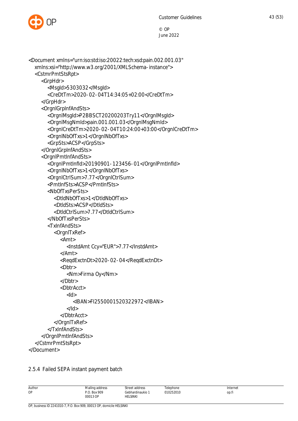<Document xmlns="urn:iso:std:iso:20022:tech:xsd:pain.002.001.03" xmlns:xsi="http://www.w3.org/2001/XMLSchema-instance"> <CstmrPmtStsRpt> <GrpHdr> <MsgId>5303032</MsgId> <CreDtTm>2020-02-04T14:34:05+02:00</CreDtTm> </GrpHdr> <OrgnlGrpInfAndSts> <OrgnlMsgId>P2BBSCT20200203Try11</OrgnlMsgId> <OrgnlMsgNmId>pain.001.001.03</OrgnlMsgNmId> <OrgnlCreDtTm>2020-02-04T10:24:00+03:00</OrgnlCreDtTm> <OrgnlNbOfTxs>1</OrgnlNbOfTxs> <GrpSts>ACSP</GrpSts> </OrgnlGrpInfAndSts> <OrgnlPmtInfAndSts> <OrgnlPmtInfId>20190901-123456-01</OrgnlPmtInfId> <OrgnlNbOfTxs>1</OrgnlNbOfTxs> <OrgnlCtrlSum>7.77</OrgnlCtrlSum> <PmtInfSts>ACSP</PmtInfSts> <NbOfTxsPerSts> <DtldNbOfTxs>1</DtldNbOfTxs> <DtldSts>ACSP</DtldSts> <DtldCtrlSum>7.77</DtldCtrlSum> </NbOfTxsPerSts> <TxInfAndSts> <OrgnlTxRef> <Amt> <InstdAmt Ccy="EUR">7.77</InstdAmt> </Amt> <ReqdExctnDt>2020-02-04</ReqdExctnDt> <Dbtr> <Nm>Firma Oy</Nm> </Dbtr> <DbtrAcct>  $<$ Id $>$  <IBAN>FI2550001520322972</IBAN>  $<$ /Id $>$  </DbtrAcct> </OrgnlTxRef> </TxInfAndSts> </OrgnlPmtInfAndSts> </CstmrPmtStsRpt> </Document>

#### <span id="page-43-0"></span>2.5.4 Failed SEPA instant payment batch

| Author | Mailing address          | Street address             | Telephone | Internet |
|--------|--------------------------|----------------------------|-----------|----------|
| OP     | P.O. Box 909<br>00013 OP | Gebhardinaukio<br>HELSINKI | 010252010 | op.fi    |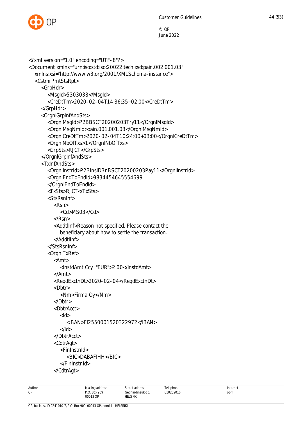

```
<?xml version="1.0" encoding="UTF-8"?>
<Document xmlns="urn:iso:std:iso:20022:tech:xsd:pain.002.001.03"
   xmlns:xsi="http://www.w3.org/2001/XMLSchema-instance">
   <CstmrPmtStsRpt>
      <GrpHdr>
        <MsgId>5303038</MsgId>
        <CreDtTm>2020-02-04T14:36:35+02:00</CreDtTm>
      </GrpHdr>
      <OrgnlGrpInfAndSts>
        <OrgnlMsgId>P2BBSCT20200203Try11</OrgnlMsgId>
        <OrgnlMsgNmId>pain.001.001.03</OrgnlMsgNmId>
        <OrgnlCreDtTm>2020-02-04T10:24:00+03:00</OrgnlCreDtTm>
        <OrgnlNbOfTxs>1</OrgnlNbOfTxs>
        <GrpSts>RJCT</GrpSts>
      </OrgnlGrpInfAndSts>
      <TxInfAndSts>
        <OrgnlInstrId>P2BInsIDBnBSCT20200203Pay11</OrgnlInstrId>
        <OrgnlEndToEndId>9834454645554699
        </OrgnlEndToEndId>
        <TxSts>RJCT</TxSts>
        <StsRsnInf>
           <Rsn>
             <Cd>MS03</Cd>
           </Rsn>
           <AddtlInf>Reason not specified. Please contact the
             beneficiary about how to settle the transaction.
           </AddtlInf>
        </StsRsnInf>
        <OrgnlTxRef>
           <Amt>
              <InstdAmt Ccy="EUR">2.00</InstdAmt>
           </Amt>
           <ReqdExctnDt>2020-02-04</ReqdExctnDt>
           <Dbtr>
             <Nm>Firma Oy</Nm>
           </Dbtr>
           <DbtrAcct>
            <ld> <IBAN>FI2550001520322972</IBAN>
            </Id> </DbtrAcct>
           <CdtrAgt>
             <FinInstnId>
                <BIC>DABAFIHH</BIC>
             </FinInstnId>
           </CdtrAgt>
```
Author OP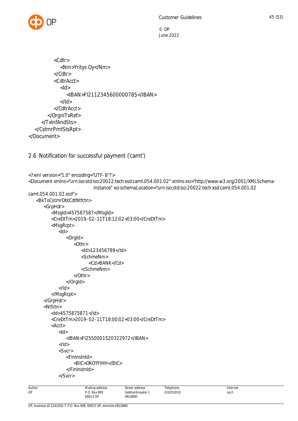

```
 <Cdtr>
              <Nm>Yritys Oy</Nm>
           </Cdtr>
           <CdtrAcct>
              <Id>
                 <IBAN>FI2112345600000785</IBAN>
             </Id> </CdtrAcct>
         </OrgnlTxRef>
      </TxInfAndSts>
   </CstmrPmtStsRpt>
</Document>
```
## <span id="page-45-0"></span>2.6 Notification for successful payment ('camt')

```
Author
OP
                          Mailing address
                          P.O. Box 909
                                            Street address
                                            Gebhardinaukio 1
                                                               Telephone
                                                               010252010
                                                                                            Internet
                                                                                            op.fi
<?xml version="1.0" encoding="UTF-8"?>
<Document xmlns="urn:iso:std:iso:20022:tech:xsd:camt.054.001.02" xmlns:xsi="http://www.w3.org/2001/XMLSchema-
                              instance" xsi:schemaLocation="urn:iso:std:iso:20022:tech:xsd:camt.054.001.02
camt.054.001.02.xsd">
    <BkToCstmrDbtCdtNtfctn>
        <GrpHdr>
           <MsgId>457587587</MsgId>
           <CreDtTm>2019-02-11T18:12:02+03:00</CreDtTm>
           <MsgRcpt>
              <Id> <OrgId>
                      <Othr>
                         <Id>123456789</Id>
                         <SchmeNm>
                             <Cd>BANK</Cd>
                         </SchmeNm>
                      </Othr>
                  </OrgId>
              </Id> </MsgRcpt>
        </GrpHdr>
        <Ntfctn>
           <Id>4575875871</Id>
           <CreDtTm>2019-02-11T18:00:02+03:00</CreDtTm>
           <Acct>
              |h\rangle <IBAN>FI2550001520322972</IBAN>
              </Id> <Svcr>
                  <FinInstnId>
                      <BIC>OKOYFIHH</BIC>
                  </FinInstnId>
               </Svcr>
```
00013 OP

HELSINKI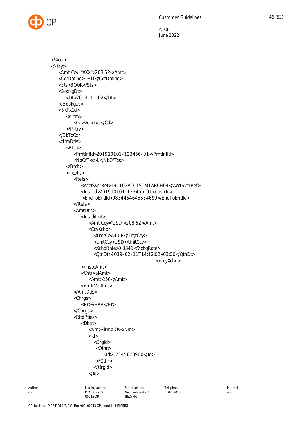

```
 </Acct>
 <Ntry>
    <Amt Ccy="XXX">208.52</Amt>
    <CdtDbtInd>DBIT</CdtDbtInd>
    <Sts>BOOK</Sts>
    <BookgDt>
       <Dt>2019-11-02</Dt>
    </BookgDt>
    <BkTxCd>
       <Prtry>
           <Cd>Veloitus</Cd>
       </Prtry>
    </BkTxCd>
    <NtryDtls>
       <Btch>
           <PmtInfId>201910101-123456-01</PmtInfId>
           <NbOfTxs>1</NbOfTxs>
       </Btch>
       <TxDtls>
           <Refs>
              <AcctSvcrRef>191102ACCTSTMTARCH04</AcctSvcrRef>
              <InstrId>201910101-123456-01</InstrId>
              <EndToEndId>9834454645554699</EndToEndId>
           </Refs>
           <AmtDtls>
              <InstdAmt>
                 <Amt Ccy="USD">208.52</Amt>
                 <CcyXchq>
                    <TrgtCcy>EUR</TrgtCcy>
                    <UnitCcy>USD</UnitCcy>
                    <XchqRate>0.8341</XchqRate>
                    <QtnDt>2019-02-11T14:12:02+03:00</QtnDt>
                                                </CcyXchq>
              </InstdAmt>
              <CntrValAmt>
                 <Amt>250</Amt>
              </CntrValAmt>
           </AmtDtls>
           <Chrgs>
              <Br>SHAR</Br>
           </Chrgs>
           <RltdPties>
              <Dbtr>
                 <Nm>Firma Oy</Nm>
                <Id> <OrgId>
                    < Othr> <Id>12345678900</Id>
                    </Othr>
                    </OrgId>
                </Id>
```
OP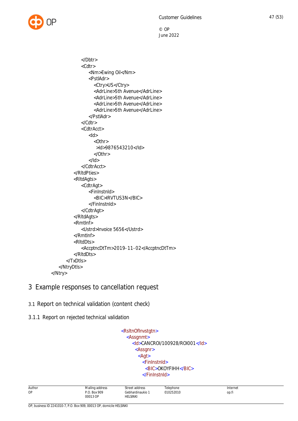

 </Dbtr> <Cdtr> <Nm>Ewing Oil</Nm> <PstlAdr> <Ctry>US</Ctry> <Adrl ine>5th Avenue</Adrl ine> <AdrLine>5th Avenue</AdrLine> <AdrLine>5th Avenue</AdrLine> <AdrLine>5th Avenue</AdrLine> </PstlAdr> </Cdtr> <CdtrAcct> and the state of the state of the state of the state of the state of the state of the state of the state of the state of the state of the state of the state of the state of the state of the state of the state of the state <Othr> >Id>9876543210</Id> </Othr>  $<$ /Id $>$  </CdtrAcct> </RltdPties> <RltdAgts> <CdtrAgt> <FinInstnId> <BIC>IRVTUS3N</BIC> </FinInstnId> </CdtrAgt> </RltdAgts> <RmtInf> <Ustrd>Invoice 5656</Ustrd> </RmtInf> <RltdDts> <AccptncDtTm>2019-11-02</AccptncDtTm> </RltdDts> </TxDtls> </NtryDtls> </Ntry>

# <span id="page-47-0"></span>3 Example responses to cancellation request

# <span id="page-47-1"></span>3.1 Report on technical validation (content check)

<span id="page-47-2"></span>3.1.1 Report on rejected technical validation

 <RsltnOfInvstgtn> <Assgnmt> <Id>CANCROI/100928/ROI001</Id> <Assgnr> <Agt> <FinInstnId> <BIC>OKOYFIHH</BIC> </FinInstnId>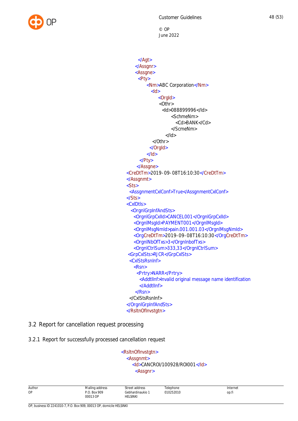

</Agt> </Assgnr> <Assgne> <Pty> <Nm>ABC Corporation</Nm>  $<$ ld $>$ <OrgId> <Othr> <Id>088899996</Id> <SchmeNm> <Cd>BANK</Cd> </ScmeNm>  $<$ /Id $>$  </Othr> </OrgId>  $<$ /Id $>$ </Pty> </Assgne> <CreDtTm>2019-09-08T16:10:30</CreDtTm> </Assgnmt> <Sts> <AssgnmentCxlConf>True</AssgnmentCxlConf> </Sts> <CxlDtls> <OrgnlGrpInfAndSts> <OrgnlGrpCxlId>CANCEL001</OrgnlGrpCxlId> <OrgnlMsgId>PAYMENT001</OrgnlMsgId> <OrgnlMsgNmId>pain.001.001.03</OrgnlMsgNmId> <OrgCreDtTm>2019-09-08T16:10:30</OrgCreDtTm> <OrgnlNbOfTxs>3</OrgnlnbofTxs> <OrgnlCtrlSum>333,33</OrgnlCtrlSum> <GrpCxlSts>RJCR</GrpCxlSts> <CxlStsRsnInf> <Rsn> <Prtry>NARR</Prtry> <AddtlInf>Invalid original message name identification </AddtlInf> </Rsn> </CxlStsRsnInf> </OrgnlGrpInfAndSts> </RsltnOfInvstgtn>

## <span id="page-48-0"></span>3.2 Report for cancellation request processing

#### <span id="page-48-1"></span>3.2.1 Report for successfully processed cancellation request

 <RsltnOfInvstgtn> <Assgnmt> <Id>CANCROI/100928/ROI001</Id> <Assgnr>

| Author | Mailing address          | Street address               | Telephone | Internet |
|--------|--------------------------|------------------------------|-----------|----------|
| OP     | P.O. Box 909<br>00013 OP | Gebhardinaukio 1<br>HELSINKI | 010252010 | op.fi    |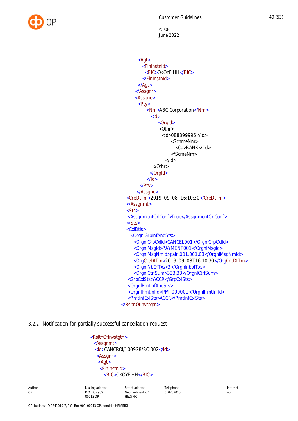

```
<Agt>
        <FinInstnId>
          <BIC>OKOYFIHH</BIC>
        </FinInstnId>
      </Agt>
     </Assgnr>
     <Assgne>
       Pty<Nm>ABC Corporation</Nm>
            <Id><OrgId>
                <Othr>
                  <Id>088899996</Id>
                      <SchmeNm>
                        <Cd>BANK</Cd>
                      </ScmeNm>
                   </Id>
              </Othr>
           </OrgId>
          </Id></Pty>
      </Assgne>
  <CreDtTm>2019-09-08T16:10:30</CreDtTm>
  </Assgnmt>
  <Sts>
  <AssgnmentCxlConf>True</AssgnmentCxlConf>
  </Sts>
  <CxlDtls>
    <OrgnlGrpInfAndSts>
      <OrgnlGrpCxlId>CANCEL001</OrgnlGrpCxlId>
      <OrgnlMsgId>PAYMENT001</OrgnlMsgId>
      <OrgnlMsgNmId>pain.001.001.03</OrgnlMsgNmId>
      <OrgCreDtTm>2019-09-08T16:10:30</OrgCreDtTm>
      <OrgnlNbOfTxs>3</OrgnlnbofTxs>
      <OrgnlCtrlSum>333,33</OrgnlCtrlSum>
   <GrpCxlSts>ACCR</GrpCxlSts>
   <OrgnlPmtinfAndSts>
   <OrgnlPmtInfId>PMT000001</OrgnlPmtInfId>
   <PmtInfCxlSts>ACCR</PmtInfCxlSts>
 </RsltnOfInvstgtn>
```
#### <span id="page-49-0"></span>3.2.2 Notification for partially successful cancellation request

<RsltnOfInvstgtn> <Assgnmt> <Id>CANCROI/100928/ROI002</Id> <Assgnr> <Agt> <FinInstnId> <BIC>OKOYFIHH</BIC>

| Author | Mailing address | Street address              | Telephone | Internet |
|--------|-----------------|-----------------------------|-----------|----------|
| OP     | P.O. Box 909    | Gebhardinaukio <sup>.</sup> | 010252010 | op.fr    |
|        | 00013 OP        | HELSINKI                    |           |          |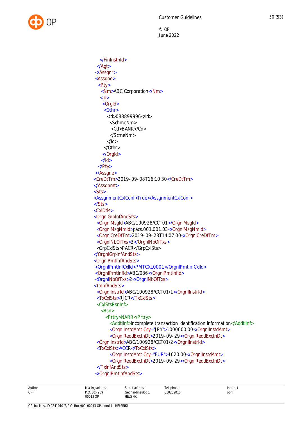

Mailing address Street address Telephone Internet </FinInstnId> </Agt> </Assgnr> <Assgne> <Pty> <Nm>ABC Corporation</Nm>  $<$ Id $>$ <OrgId> <Othr> <Id>088899996</Id> <SchmeNm> <Cd>BANK</Cd> </ScmeNm>  $<$ /Id $>$  </Othr> </OrgId>  $<$ /Id $>$ </Pty> </Assgne> <CreDtTm>2019-09-08T16:10:30</CreDtTm> </Assgnmt> <Sts> <AssgnmentCxlConf>True</AssgnmentCxlConf> </Sts> <CxlDtls> <OrgnlGrpInfAndSts> <OrgnlMsgId>ABC/100928/CCT01</OrgnlMsgId> <OrgnlMsgNmId>pacs.001.001.03</OrgnlMsgNmId> <OrgnlCreDtTm>2019-09-28T14:07:00</OrgnlCreDtTm> <OrgnlNbOfTxs>3</OrgnlNbOfTxs> <GrpCxlSts>PACR</GrpCxlSts> </OrgnlGrpInfAndSts> <OrgnlPmtInfAndSts> <OrgnlPmtInfCxlId>PMTCXL0001</OrgnlPmtInfCxlId> <OrgnlPmtInfId>ABC/086</OrgnlPmtInfId> <OrgnlNbOfTxs>2</OrgnlNbOfTxs> <TxInfAndSts> <OrgnlInstrId>ABC/100928/CCT01/1</OrgnlInstrId> <TxCxlSts>RJCR</TxCxlSts> <CxlStsRsnInf> <Rsn> <Prtry>NARR</Prtry> <AddtlInf>Incomplete transaction identification information</AddtlInf> <OrgnlInstdAmt Ccy="JPY">1000000.00</OrgnlInstdAmt> <OrgnlReqdExctnDt>2019-09-29</OrgnlReqdExctnDt> <OrgnlInstrId>ABC/100928/CCT01/2</OrgnlInstrId> <TxCxlSts>ACCR</TxCxlSts> <OrgnlInstdAmt Ccy="EUR">1020.00</OrgnlInstdAmt> <OrgnlReqdExctnDt>2019-09-29</OrgnlReqdExctnDt> </TxInfAndSts> </OrgnlPmtInfAndSts>

010252010

op.fi

P.O. Box 909 00013 OP

Gebhardinaukio 1 HELSINKI

Author OP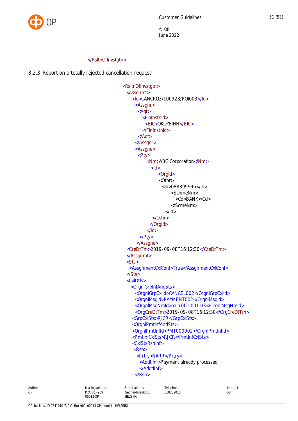

#### </RsltnOfInvstgtn>

<span id="page-51-0"></span>3.2.3 Report on a totally rejected cancellation request

 <RsltnOfInvstgtn> <Assgnmt> <Id>CANCRO3/100928/ROI003</Id> <Assgnr> <Agt> <FinInstnId> <BIC>OKOYFIHH</BIC> </FinInstnId> </Agt> </Assgnr> <Assgne> <Pty> <Nm>ABC Corporation</Nm> <Id> <OrgId> <Othr> <Id>088899996</Id> <SchmeNm> <Cd>BANK</Cd> </ScmeNm>  $<$ /Id $>$  </Othr> </OrgId>  $<$ /Id $>$ </Pty> </Assgne> <CreDtTm>2019-09-08T16:12:30</CreDtTm> </Assgnmt> <Sts> <AssgnmentCxlConf>True</AssgnmentCxlConf> </Sts> <CxlDtls> <OrgnlGrpInfAndSts> <OrgnlGrpCxlId>CANCEL002</OrgnlGrpCxlId> <OrgnlMsgId>PAYMENT002</OrgnlMsgId> <OrgnlMsgNmId>pain.001.001.03</OrgnlMsgNmId> <OrgCreDtTm>2019-09-08T16:12:30</OrgCreDtTm> <GrpCxlSts>RJCR</GrpCxlSts> <OrgnlPmtinfAndSts> <OrgnlPmtInfId>PMT000002</OrgnlPmtInfId> <PmtInfCxlSts>RJCR</PmtInfCxlSts> <CxlStsRsnInf> <Rsn> <Prtry>NARR</Prtry> <AddtlInf>Payment already processed </AddtlInf> </Rsn>

| Author | Mailing address<br>the contract of the contract of | address                           | <sup>r</sup> elephone | Internet |
|--------|----------------------------------------------------|-----------------------------------|-----------------------|----------|
| OP     | Box 909<br>D O<br>00013 OP<br>.                    | Gebhardinaukio<br><b>HELSINKI</b> | 010252010             | op.fi    |